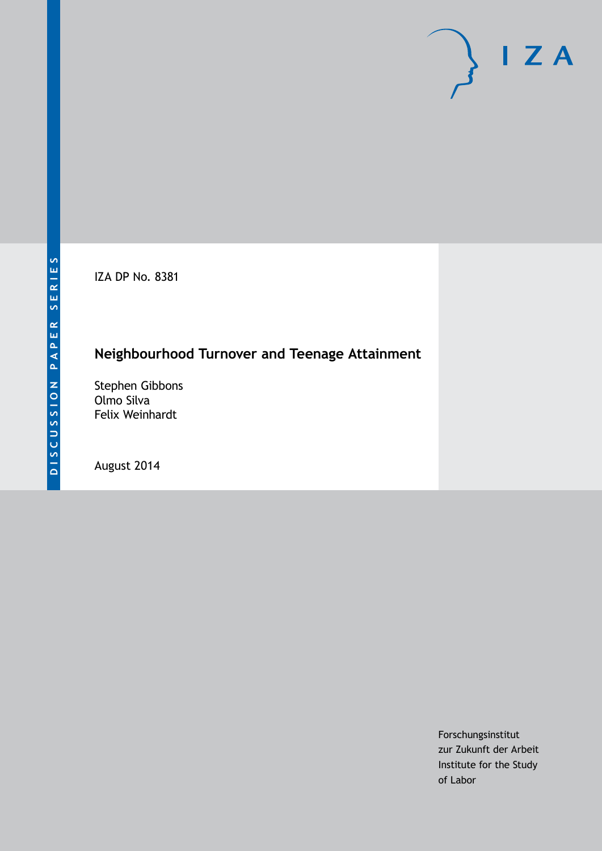IZA DP No. 8381

## **Neighbourhood Turnover and Teenage Attainment**

Stephen Gibbons Olmo Silva Felix Weinhardt

August 2014

Forschungsinstitut zur Zukunft der Arbeit Institute for the Study of Labor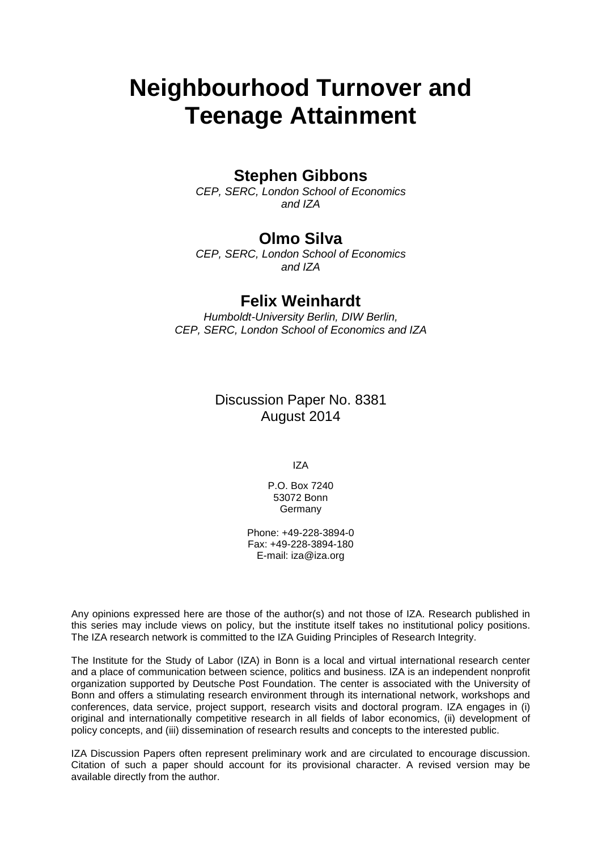# **Neighbourhood Turnover and Teenage Attainment**

### **Stephen Gibbons**

*CEP, SERC, London School of Economics and IZA*

### **Olmo Silva**

*CEP, SERC, London School of Economics and IZA*

### **Felix Weinhardt**

*Humboldt-University Berlin, DIW Berlin, CEP, SERC, London School of Economics and IZA*

> Discussion Paper No. 8381 August 2014

> > IZA

P.O. Box 7240 53072 Bonn Germany

Phone: +49-228-3894-0 Fax: +49-228-3894-180 E-mail: [iza@iza.org](mailto:iza@iza.org)

Any opinions expressed here are those of the author(s) and not those of IZA. Research published in this series may include views on policy, but the institute itself takes no institutional policy positions. The IZA research network is committed to the IZA Guiding Principles of Research Integrity.

The Institute for the Study of Labor (IZA) in Bonn is a local and virtual international research center and a place of communication between science, politics and business. IZA is an independent nonprofit organization supported by Deutsche Post Foundation. The center is associated with the University of Bonn and offers a stimulating research environment through its international network, workshops and conferences, data service, project support, research visits and doctoral program. IZA engages in (i) original and internationally competitive research in all fields of labor economics, (ii) development of policy concepts, and (iii) dissemination of research results and concepts to the interested public.

<span id="page-1-0"></span>IZA Discussion Papers often represent preliminary work and are circulated to encourage discussion. Citation of such a paper should account for its provisional character. A revised version may be available directly from the author.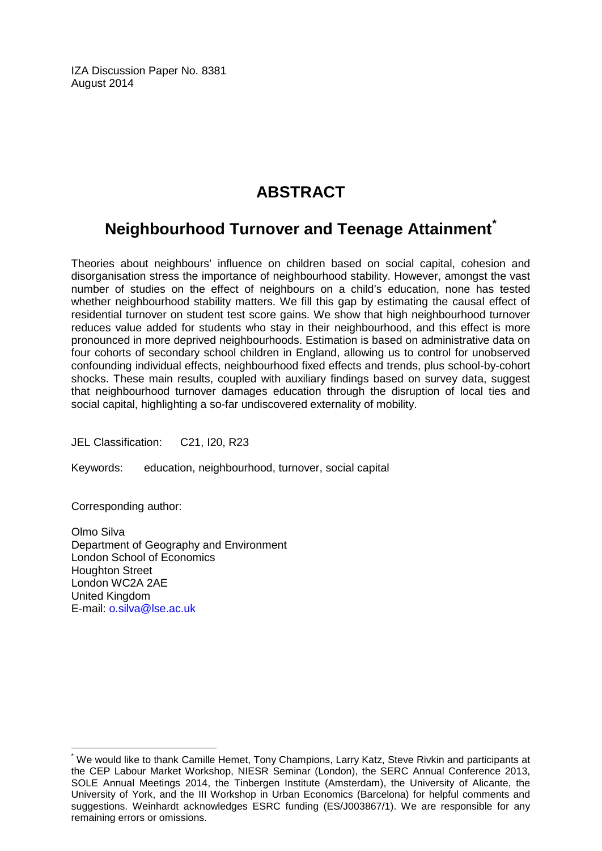IZA Discussion Paper No. 8381 August 2014

## **ABSTRACT**

## **Neighbourhood Turnover and Teenage Attainment[\\*](#page-1-0)**

Theories about neighbours' influence on children based on social capital, cohesion and disorganisation stress the importance of neighbourhood stability. However, amongst the vast number of studies on the effect of neighbours on a child's education, none has tested whether neighbourhood stability matters. We fill this gap by estimating the causal effect of residential turnover on student test score gains. We show that high neighbourhood turnover reduces value added for students who stay in their neighbourhood, and this effect is more pronounced in more deprived neighbourhoods. Estimation is based on administrative data on four cohorts of secondary school children in England, allowing us to control for unobserved confounding individual effects, neighbourhood fixed effects and trends, plus school-by-cohort shocks. These main results, coupled with auxiliary findings based on survey data, suggest that neighbourhood turnover damages education through the disruption of local ties and social capital, highlighting a so-far undiscovered externality of mobility.

JEL Classification: C21, I20, R23

Keywords: education, neighbourhood, turnover, social capital

Corresponding author:

Olmo Silva Department of Geography and Environment London School of Economics Houghton Street London WC2A 2AE United Kingdom E-mail: [o.silva@lse.ac.uk](mailto:o.silva@lse.ac.uk)

We would like to thank Camille Hemet, Tony Champions, Larry Katz, Steve Rivkin and participants at the CEP Labour Market Workshop, NIESR Seminar (London), the SERC Annual Conference 2013, SOLE Annual Meetings 2014, the Tinbergen Institute (Amsterdam), the University of Alicante, the University of York, and the III Workshop in Urban Economics (Barcelona) for helpful comments and suggestions. Weinhardt acknowledges ESRC funding (ES/J003867/1). We are responsible for any remaining errors or omissions.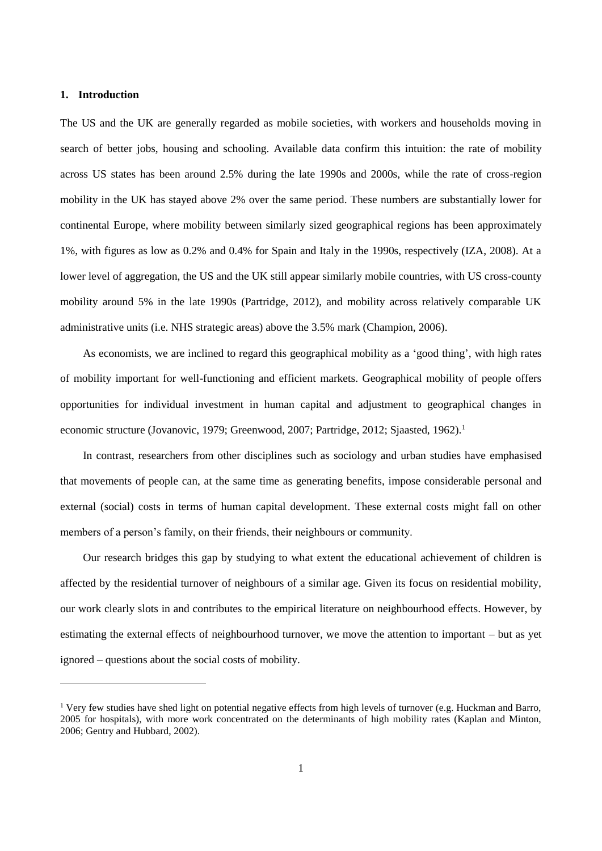#### **1. Introduction**

The US and the UK are generally regarded as mobile societies, with workers and households moving in search of better jobs, housing and schooling. Available data confirm this intuition: the rate of mobility across US states has been around 2.5% during the late 1990s and 2000s, while the rate of cross-region mobility in the UK has stayed above 2% over the same period. These numbers are substantially lower for continental Europe, where mobility between similarly sized geographical regions has been approximately 1%, with figures as low as 0.2% and 0.4% for Spain and Italy in the 1990s, respectively (IZA, 2008). At a lower level of aggregation, the US and the UK still appear similarly mobile countries, with US cross-county mobility around 5% in the late 1990s (Partridge, 2012), and mobility across relatively comparable UK administrative units (i.e. NHS strategic areas) above the 3.5% mark (Champion, 2006).

As economists, we are inclined to regard this geographical mobility as a 'good thing', with high rates of mobility important for well-functioning and efficient markets. Geographical mobility of people offers opportunities for individual investment in human capital and adjustment to geographical changes in economic structure (Jovanovic, 1979; Greenwood, 2007; Partridge, 2012; Sjaasted, 1962).<sup>1</sup>

In contrast, researchers from other disciplines such as sociology and urban studies have emphasised that movements of people can, at the same time as generating benefits, impose considerable personal and external (social) costs in terms of human capital development. These external costs might fall on other members of a person's family, on their friends, their neighbours or community.

Our research bridges this gap by studying to what extent the educational achievement of children is affected by the residential turnover of neighbours of a similar age. Given its focus on residential mobility, our work clearly slots in and contributes to the empirical literature on neighbourhood effects. However, by estimating the external effects of neighbourhood turnover, we move the attention to important – but as yet ignored – questions about the social costs of mobility.

<sup>&</sup>lt;sup>1</sup> Very few studies have shed light on potential negative effects from high levels of turnover (e.g. Huckman and Barro, 2005 for hospitals), with more work concentrated on the determinants of high mobility rates (Kaplan and Minton, 2006; Gentry and Hubbard, 2002).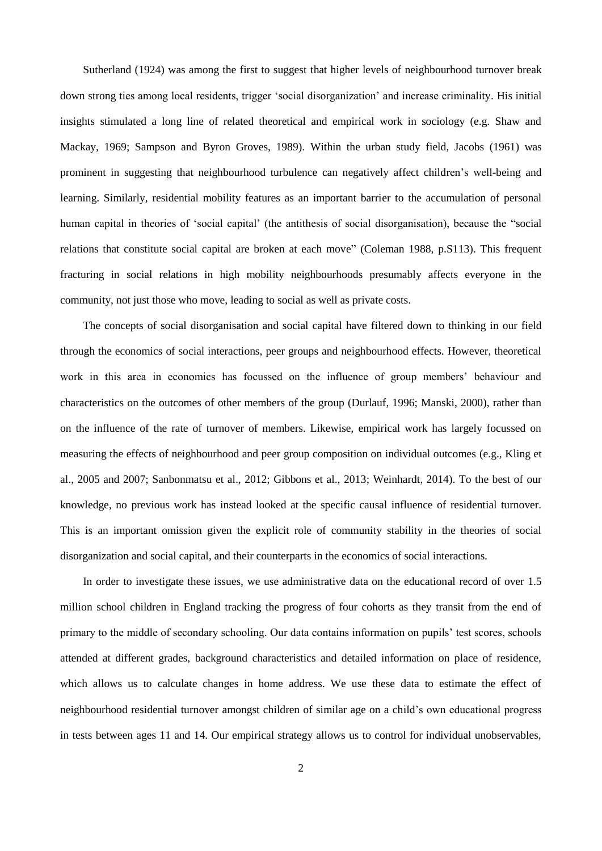Sutherland (1924) was among the first to suggest that higher levels of neighbourhood turnover break down strong ties among local residents, trigger 'social disorganization' and increase criminality. His initial insights stimulated a long line of related theoretical and empirical work in sociology (e.g. Shaw and Mackay, 1969; Sampson and Byron Groves, 1989). Within the urban study field, Jacobs (1961) was prominent in suggesting that neighbourhood turbulence can negatively affect children's well-being and learning. Similarly, residential mobility features as an important barrier to the accumulation of personal human capital in theories of 'social capital' (the antithesis of social disorganisation), because the "social relations that constitute social capital are broken at each move" (Coleman 1988, p.S113). This frequent fracturing in social relations in high mobility neighbourhoods presumably affects everyone in the community, not just those who move, leading to social as well as private costs.

The concepts of social disorganisation and social capital have filtered down to thinking in our field through the economics of social interactions, peer groups and neighbourhood effects. However, theoretical work in this area in economics has focussed on the influence of group members' behaviour and characteristics on the outcomes of other members of the group (Durlauf, 1996; Manski, 2000), rather than on the influence of the rate of turnover of members. Likewise, empirical work has largely focussed on measuring the effects of neighbourhood and peer group composition on individual outcomes (e.g., Kling et al., 2005 and 2007; Sanbonmatsu et al., 2012; Gibbons et al., 2013; Weinhardt, 2014). To the best of our knowledge, no previous work has instead looked at the specific causal influence of residential turnover. This is an important omission given the explicit role of community stability in the theories of social disorganization and social capital, and their counterparts in the economics of social interactions.

In order to investigate these issues, we use administrative data on the educational record of over 1.5 million school children in England tracking the progress of four cohorts as they transit from the end of primary to the middle of secondary schooling. Our data contains information on pupils' test scores, schools attended at different grades, background characteristics and detailed information on place of residence, which allows us to calculate changes in home address. We use these data to estimate the effect of neighbourhood residential turnover amongst children of similar age on a child's own educational progress in tests between ages 11 and 14. Our empirical strategy allows us to control for individual unobservables,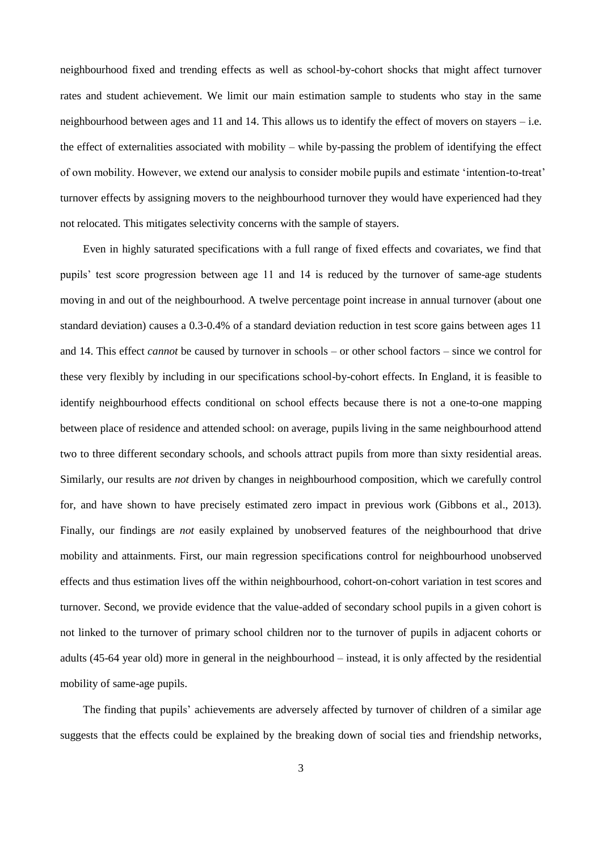neighbourhood fixed and trending effects as well as school-by-cohort shocks that might affect turnover rates and student achievement. We limit our main estimation sample to students who stay in the same neighbourhood between ages and 11 and 14. This allows us to identify the effect of movers on stayers  $-i.e.$ the effect of externalities associated with mobility – while by-passing the problem of identifying the effect of own mobility. However, we extend our analysis to consider mobile pupils and estimate 'intention-to-treat' turnover effects by assigning movers to the neighbourhood turnover they would have experienced had they not relocated. This mitigates selectivity concerns with the sample of stayers.

Even in highly saturated specifications with a full range of fixed effects and covariates, we find that pupils' test score progression between age 11 and 14 is reduced by the turnover of same-age students moving in and out of the neighbourhood. A twelve percentage point increase in annual turnover (about one standard deviation) causes a 0.3-0.4% of a standard deviation reduction in test score gains between ages 11 and 14. This effect *cannot* be caused by turnover in schools – or other school factors – since we control for these very flexibly by including in our specifications school-by-cohort effects. In England, it is feasible to identify neighbourhood effects conditional on school effects because there is not a one-to-one mapping between place of residence and attended school: on average, pupils living in the same neighbourhood attend two to three different secondary schools, and schools attract pupils from more than sixty residential areas. Similarly, our results are *not* driven by changes in neighbourhood composition, which we carefully control for, and have shown to have precisely estimated zero impact in previous work (Gibbons et al., 2013). Finally, our findings are *not* easily explained by unobserved features of the neighbourhood that drive mobility and attainments. First, our main regression specifications control for neighbourhood unobserved effects and thus estimation lives off the within neighbourhood, cohort-on-cohort variation in test scores and turnover. Second, we provide evidence that the value-added of secondary school pupils in a given cohort is not linked to the turnover of primary school children nor to the turnover of pupils in adjacent cohorts or adults (45-64 year old) more in general in the neighbourhood – instead, it is only affected by the residential mobility of same-age pupils.

The finding that pupils' achievements are adversely affected by turnover of children of a similar age suggests that the effects could be explained by the breaking down of social ties and friendship networks,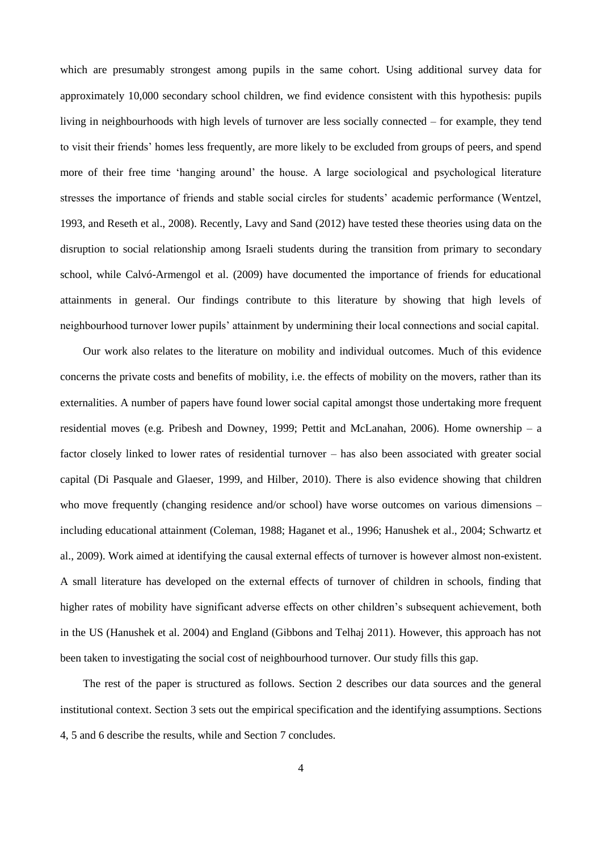which are presumably strongest among pupils in the same cohort. Using additional survey data for approximately 10,000 secondary school children, we find evidence consistent with this hypothesis: pupils living in neighbourhoods with high levels of turnover are less socially connected – for example, they tend to visit their friends' homes less frequently, are more likely to be excluded from groups of peers, and spend more of their free time 'hanging around' the house. A large sociological and psychological literature stresses the importance of friends and stable social circles for students' academic performance (Wentzel, 1993, and Reseth et al., 2008). Recently, Lavy and Sand (2012) have tested these theories using data on the disruption to social relationship among Israeli students during the transition from primary to secondary school, while Calvó-Armengol et al. (2009) have documented the importance of friends for educational attainments in general. Our findings contribute to this literature by showing that high levels of neighbourhood turnover lower pupils' attainment by undermining their local connections and social capital.

Our work also relates to the literature on mobility and individual outcomes. Much of this evidence concerns the private costs and benefits of mobility, i.e. the effects of mobility on the movers, rather than its externalities. A number of papers have found lower social capital amongst those undertaking more frequent residential moves (e.g. Pribesh and Downey, 1999; Pettit and McLanahan, 2006). Home ownership – a factor closely linked to lower rates of residential turnover – has also been associated with greater social capital (Di Pasquale and Glaeser, 1999, and Hilber, 2010). There is also evidence showing that children who move frequently (changing residence and/or school) have worse outcomes on various dimensions – including educational attainment (Coleman, 1988; Haganet et al., 1996; Hanushek et al., 2004; Schwartz et al., 2009). Work aimed at identifying the causal external effects of turnover is however almost non-existent. A small literature has developed on the external effects of turnover of children in schools, finding that higher rates of mobility have significant adverse effects on other children's subsequent achievement, both in the US (Hanushek et al. 2004) and England (Gibbons and Telhaj 2011). However, this approach has not been taken to investigating the social cost of neighbourhood turnover. Our study fills this gap.

The rest of the paper is structured as follows. Section 2 describes our data sources and the general institutional context. Section 3 sets out the empirical specification and the identifying assumptions. Sections 4, [5](#page-21-0) and [6](#page-26-0) describe the results, while and Section [7](#page-28-0) concludes.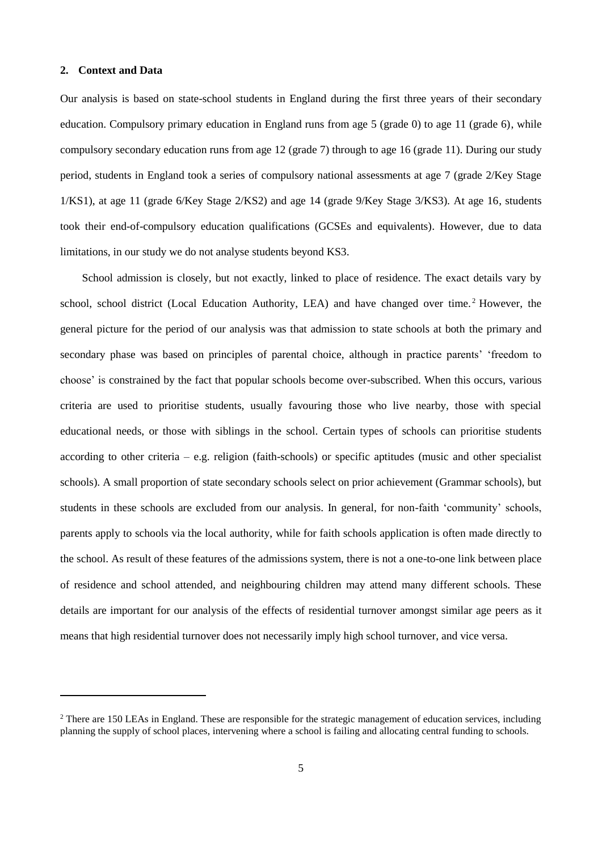#### **2. Context and Data**

 $\overline{a}$ 

Our analysis is based on state-school students in England during the first three years of their secondary education. Compulsory primary education in England runs from age 5 (grade 0) to age 11 (grade 6), while compulsory secondary education runs from age 12 (grade 7) through to age 16 (grade 11). During our study period, students in England took a series of compulsory national assessments at age 7 (grade 2/Key Stage 1/KS1), at age 11 (grade 6/Key Stage 2/KS2) and age 14 (grade 9/Key Stage 3/KS3). At age 16, students took their end-of-compulsory education qualifications (GCSEs and equivalents). However, due to data limitations, in our study we do not analyse students beyond KS3.

School admission is closely, but not exactly, linked to place of residence. The exact details vary by school, school district (Local Education Authority, LEA) and have changed over time.<sup>2</sup> However, the general picture for the period of our analysis was that admission to state schools at both the primary and secondary phase was based on principles of parental choice, although in practice parents' 'freedom to choose' is constrained by the fact that popular schools become over-subscribed. When this occurs, various criteria are used to prioritise students, usually favouring those who live nearby, those with special educational needs, or those with siblings in the school. Certain types of schools can prioritise students according to other criteria – e.g. religion (faith-schools) or specific aptitudes (music and other specialist schools). A small proportion of state secondary schools select on prior achievement (Grammar schools), but students in these schools are excluded from our analysis. In general, for non-faith 'community' schools, parents apply to schools via the local authority, while for faith schools application is often made directly to the school. As result of these features of the admissions system, there is not a one-to-one link between place of residence and school attended, and neighbouring children may attend many different schools. These details are important for our analysis of the effects of residential turnover amongst similar age peers as it means that high residential turnover does not necessarily imply high school turnover, and vice versa.

<sup>&</sup>lt;sup>2</sup> There are 150 LEAs in England. These are responsible for the strategic management of education services, including planning the supply of school places, intervening where a school is failing and allocating central funding to schools.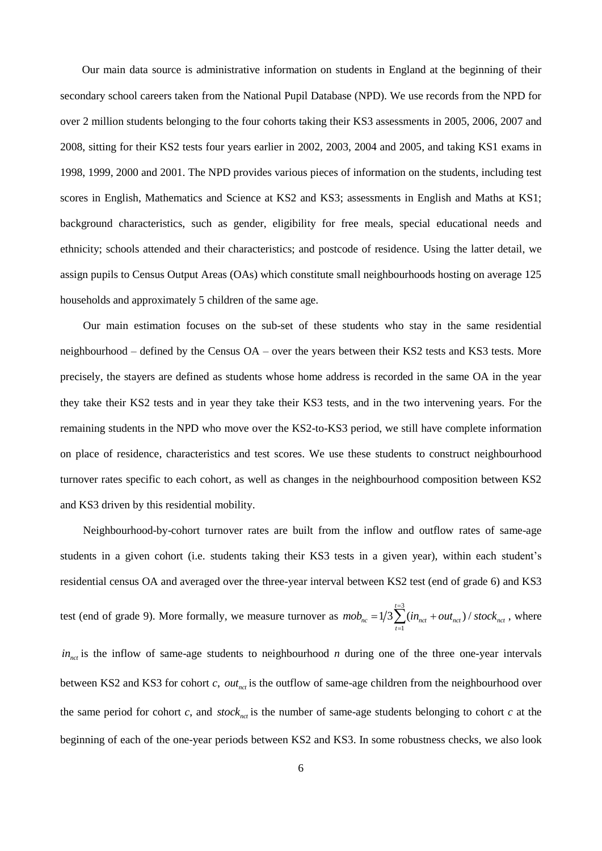Our main data source is administrative information on students in England at the beginning of their secondary school careers taken from the National Pupil Database (NPD). We use records from the NPD for over 2 million students belonging to the four cohorts taking their KS3 assessments in 2005, 2006, 2007 and 2008, sitting for their KS2 tests four years earlier in 2002, 2003, 2004 and 2005, and taking KS1 exams in 1998, 1999, 2000 and 2001. The NPD provides various pieces of information on the students, including test scores in English, Mathematics and Science at KS2 and KS3; assessments in English and Maths at KS1; background characteristics, such as gender, eligibility for free meals, special educational needs and ethnicity; schools attended and their characteristics; and postcode of residence. Using the latter detail, we assign pupils to Census Output Areas (OAs) which constitute small neighbourhoods hosting on average 125 households and approximately 5 children of the same age.

Our main estimation focuses on the sub-set of these students who stay in the same residential neighbourhood – defined by the Census OA – over the years between their KS2 tests and KS3 tests. More precisely, the stayers are defined as students whose home address is recorded in the same OA in the year they take their KS2 tests and in year they take their KS3 tests, and in the two intervening years. For the remaining students in the NPD who move over the KS2-to-KS3 period, we still have complete information on place of residence, characteristics and test scores. We use these students to construct neighbourhood turnover rates specific to each cohort, as well as changes in the neighbourhood composition between KS2 and KS3 driven by this residential mobility.

Neighbourhood-by-cohort turnover rates are built from the inflow and outflow rates of same-age students in a given cohort (i.e. students taking their KS3 tests in a given year), within each student's residential census OA and averaged over the three-year interval between KS2 test (end of grade 6) and KS3 test (end of grade 9). More formally, we measure turnover as 3  $mob_{nc} = 1/3 \sum_{t=1}^{t=3} (in_{_{nct}} + out_{_{nct}}) / stock_{_{nct}}$  $=1/3\sum_{t=1}^{t=3} (in_{_{nct}} + out_{_{nct}}) / stock_{_{nct}}$ , where  $in_{net}$  is the inflow of same-age students to neighbourhood *n* during one of the three one-year intervals between KS2 and KS3 for cohort  $c$ ,  $out_{net}$  is the outflow of same-age children from the neighbourhood over the same period for cohort  $c$ , and  $stock_{\text{net}}$  is the number of same-age students belonging to cohort  $c$  at the beginning of each of the one-year periods between KS2 and KS3. In some robustness checks, we also look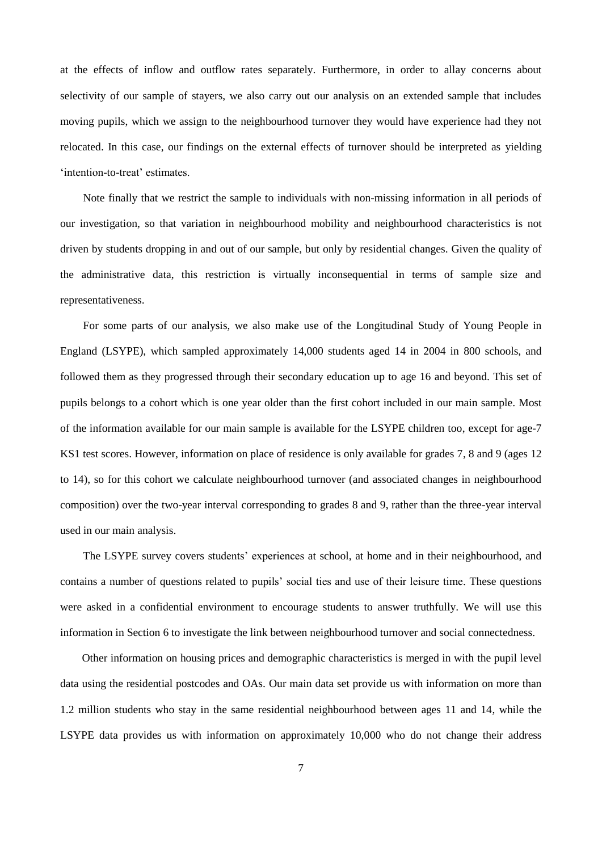at the effects of inflow and outflow rates separately. Furthermore, in order to allay concerns about selectivity of our sample of stayers, we also carry out our analysis on an extended sample that includes moving pupils, which we assign to the neighbourhood turnover they would have experience had they not relocated. In this case, our findings on the external effects of turnover should be interpreted as yielding 'intention-to-treat' estimates.

Note finally that we restrict the sample to individuals with non-missing information in all periods of our investigation, so that variation in neighbourhood mobility and neighbourhood characteristics is not driven by students dropping in and out of our sample, but only by residential changes. Given the quality of the administrative data, this restriction is virtually inconsequential in terms of sample size and representativeness.

For some parts of our analysis, we also make use of the Longitudinal Study of Young People in England (LSYPE), which sampled approximately 14,000 students aged 14 in 2004 in 800 schools, and followed them as they progressed through their secondary education up to age 16 and beyond. This set of pupils belongs to a cohort which is one year older than the first cohort included in our main sample. Most of the information available for our main sample is available for the LSYPE children too, except for age-7 KS1 test scores. However, information on place of residence is only available for grades 7, 8 and 9 (ages 12 to 14), so for this cohort we calculate neighbourhood turnover (and associated changes in neighbourhood composition) over the two-year interval corresponding to grades 8 and 9, rather than the three-year interval used in our main analysis.

The LSYPE survey covers students' experiences at school, at home and in their neighbourhood, and contains a number of questions related to pupils' social ties and use of their leisure time. These questions were asked in a confidential environment to encourage students to answer truthfully. We will use this information in Section [6](#page-26-0) to investigate the link between neighbourhood turnover and social connectedness.

Other information on housing prices and demographic characteristics is merged in with the pupil level data using the residential postcodes and OAs. Our main data set provide us with information on more than 1.2 million students who stay in the same residential neighbourhood between ages 11 and 14, while the LSYPE data provides us with information on approximately 10,000 who do not change their address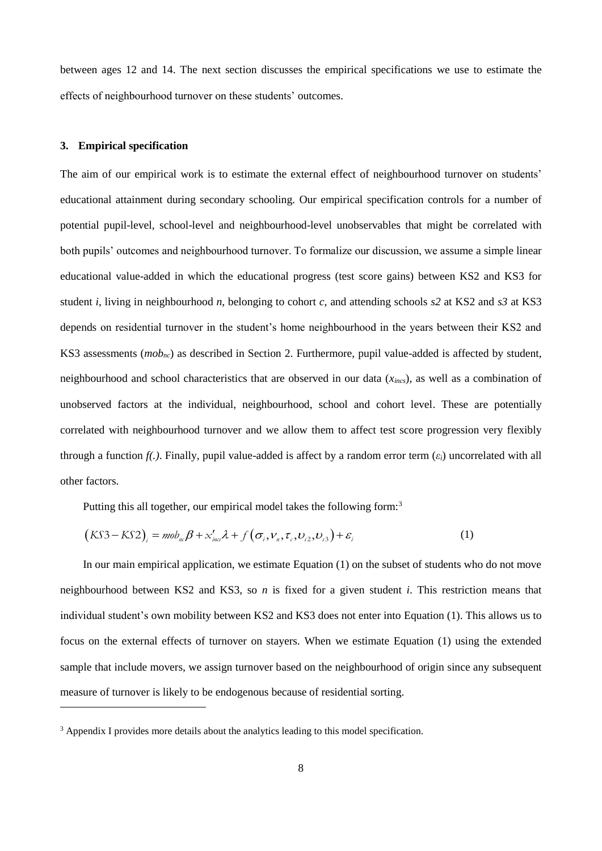between ages 12 and 14. The next section discusses the empirical specifications we use to estimate the effects of neighbourhood turnover on these students' outcomes.

#### <span id="page-10-0"></span>**3. Empirical specification**

 $\overline{a}$ 

The aim of our empirical work is to estimate the external effect of neighbourhood turnover on students' educational attainment during secondary schooling. Our empirical specification controls for a number of potential pupil-level, school-level and neighbourhood-level unobservables that might be correlated with both pupils' outcomes and neighbourhood turnover. To formalize our discussion, we assume a simple linear educational value-added in which the educational progress (test score gains) between KS2 and KS3 for student *i*, living in neighbourhood *n*, belonging to cohort *c*, and attending schools *s2* at KS2 and *s3* at KS3 depends on residential turnover in the student's home neighbourhood in the years between their KS2 and KS3 assessments (*mobnc*) as described in Section 2. Furthermore, pupil value-added is affected by student, neighbourhood and school characteristics that are observed in our data (*xincs*), as well as a combination of unobserved factors at the individual, neighbourhood, school and cohort level. These are potentially correlated with neighbourhood turnover and we allow them to affect test score progression very flexibly through a function  $f(x)$ . Finally, pupil value-added is affect by a random error term  $(\varepsilon_i)$  uncorrelated with all other factors.

Putting this all together, our empirical model takes the following form:<sup>3</sup>  

$$
(KS3 - KS2)_i = m\delta_{n\epsilon}\beta + x'_{\text{ins}}\lambda + f(\sigma_i, V_n, \tau_i, D_{i2}, D_{i3}) + \varepsilon_i
$$
 (1)

In our main empirical application, we estimate Equation (1) on the subset of students who do not move neighbourhood between KS2 and KS3, so *n* is fixed for a given student *i*. This restriction means that individual student's own mobility between KS2 and KS3 does not enter into Equation (1). This allows us to focus on the external effects of turnover on stayers. When we estimate Equation (1) using the extended sample that include movers, we assign turnover based on the neighbourhood of origin since any subsequent measure of turnover is likely to be endogenous because of residential sorting.

<sup>&</sup>lt;sup>3</sup> Appendix I provides more details about the analytics leading to this model specification.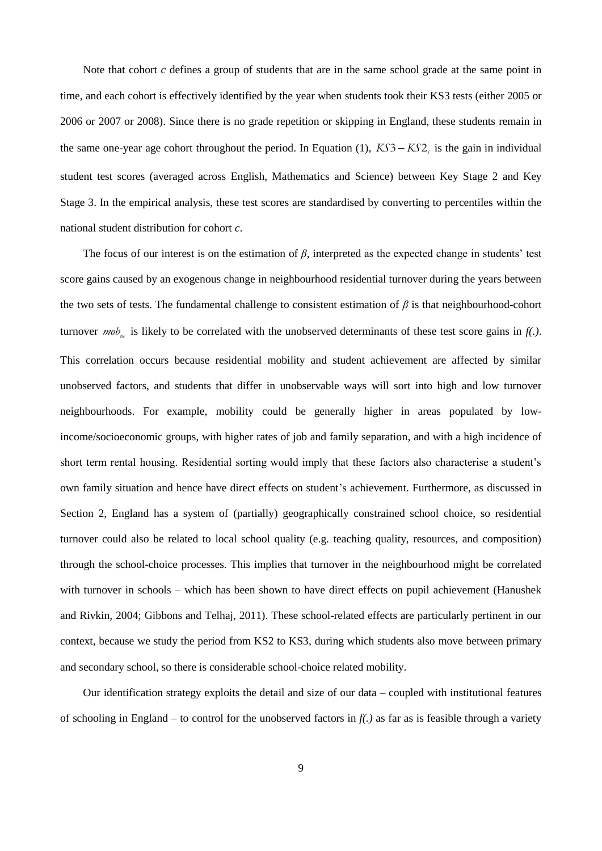Note that cohort *c* defines a group of students that are in the same school grade at the same point in time, and each cohort is effectively identified by the year when students took their KS3 tests (either 2005 or 2006 or 2007 or 2008). Since there is no grade repetition or skipping in England, these students remain in the same one-year age cohort throughout the period. In Equation (1),  $KSS - KS2<sub>i</sub>$  is the gain in individual student test scores (averaged across English, Mathematics and Science) between Key Stage 2 and Key Stage 3. In the empirical analysis, these test scores are standardised by converting to percentiles within the national student distribution for cohort *c*.

The focus of our interest is on the estimation of *β*, interpreted as the expected change in students' test score gains caused by an exogenous change in neighbourhood residential turnover during the years between the two sets of tests. The fundamental challenge to consistent estimation of  $\beta$  is that neighbourhood-cohort turnover *mob<sub>nc</sub>* is likely to be correlated with the unobserved determinants of these test score gains in  $f(.)$ . This correlation occurs because residential mobility and student achievement are affected by similar unobserved factors, and students that differ in unobservable ways will sort into high and low turnover neighbourhoods. For example, mobility could be generally higher in areas populated by lowincome/socioeconomic groups, with higher rates of job and family separation, and with a high incidence of short term rental housing. Residential sorting would imply that these factors also characterise a student's own family situation and hence have direct effects on student's achievement. Furthermore, as discussed in Section 2, England has a system of (partially) geographically constrained school choice, so residential turnover could also be related to local school quality (e.g. teaching quality, resources, and composition) through the school-choice processes. This implies that turnover in the neighbourhood might be correlated with turnover in schools – which has been shown to have direct effects on pupil achievement (Hanushek and Rivkin, 2004; Gibbons and Telhaj, 2011). These school-related effects are particularly pertinent in our context, because we study the period from KS2 to KS3, during which students also move between primary and secondary school, so there is considerable school-choice related mobility.

Our identification strategy exploits the detail and size of our data – coupled with institutional features of schooling in England – to control for the unobserved factors in *f(.)* as far as is feasible through a variety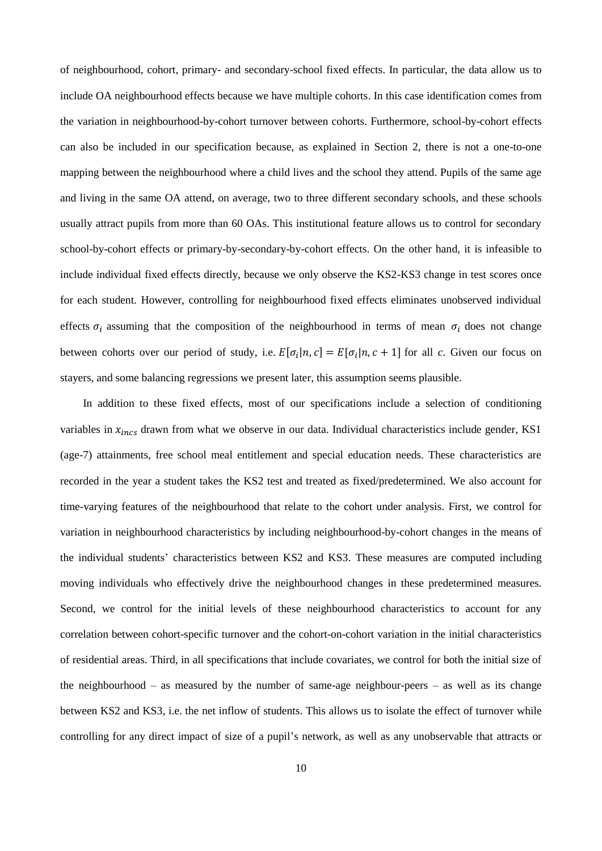of neighbourhood, cohort, primary- and secondary-school fixed effects. In particular, the data allow us to include OA neighbourhood effects because we have multiple cohorts. In this case identification comes from the variation in neighbourhood-by-cohort turnover between cohorts. Furthermore, school-by-cohort effects can also be included in our specification because, as explained in Section 2, there is not a one-to-one mapping between the neighbourhood where a child lives and the school they attend. Pupils of the same age and living in the same OA attend, on average, two to three different secondary schools, and these schools usually attract pupils from more than 60 OAs. This institutional feature allows us to control for secondary school-by-cohort effects or primary-by-secondary-by-cohort effects. On the other hand, it is infeasible to include individual fixed effects directly, because we only observe the KS2-KS3 change in test scores once for each student. However, controlling for neighbourhood fixed effects eliminates unobserved individual effects  $\sigma_i$  assuming that the composition of the neighbourhood in terms of mean  $\sigma_i$  does not change between cohorts over our period of study, i.e.  $E[\sigma_i|n, c] = E[\sigma_i|n, c + 1]$  for all *c*. Given our focus on stayers, and some balancing regressions we present later, this assumption seems plausible.

In addition to these fixed effects, most of our specifications include a selection of conditioning variables in  $x_{incs}$  drawn from what we observe in our data. Individual characteristics include gender, KS1 (age-7) attainments, free school meal entitlement and special education needs. These characteristics are recorded in the year a student takes the KS2 test and treated as fixed/predetermined. We also account for time-varying features of the neighbourhood that relate to the cohort under analysis. First, we control for variation in neighbourhood characteristics by including neighbourhood-by-cohort changes in the means of the individual students' characteristics between KS2 and KS3. These measures are computed including moving individuals who effectively drive the neighbourhood changes in these predetermined measures. Second, we control for the initial levels of these neighbourhood characteristics to account for any correlation between cohort-specific turnover and the cohort-on-cohort variation in the initial characteristics of residential areas. Third, in all specifications that include covariates, we control for both the initial size of the neighbourhood – as measured by the number of same-age neighbour-peers – as well as its change between KS2 and KS3, i.e. the net inflow of students. This allows us to isolate the effect of turnover while controlling for any direct impact of size of a pupil's network, as well as any unobservable that attracts or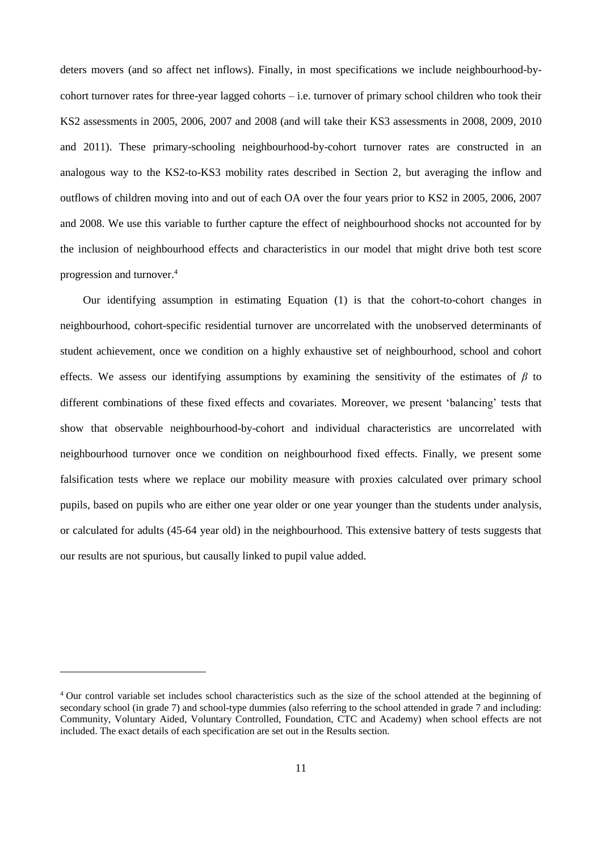deters movers (and so affect net inflows). Finally, in most specifications we include neighbourhood-bycohort turnover rates for three-year lagged cohorts  $-$  i.e. turnover of primary school children who took their KS2 assessments in 2005, 2006, 2007 and 2008 (and will take their KS3 assessments in 2008, 2009, 2010 and 2011). These primary-schooling neighbourhood-by-cohort turnover rates are constructed in an analogous way to the KS2-to-KS3 mobility rates described in Section 2, but averaging the inflow and outflows of children moving into and out of each OA over the four years prior to KS2 in 2005, 2006, 2007 and 2008. We use this variable to further capture the effect of neighbourhood shocks not accounted for by the inclusion of neighbourhood effects and characteristics in our model that might drive both test score progression and turnover.<sup>4</sup>

Our identifying assumption in estimating Equation (1) is that the cohort-to-cohort changes in neighbourhood, cohort-specific residential turnover are uncorrelated with the unobserved determinants of student achievement, once we condition on a highly exhaustive set of neighbourhood, school and cohort effects. We assess our identifying assumptions by examining the sensitivity of the estimates of *β* to different combinations of these fixed effects and covariates. Moreover, we present 'balancing' tests that show that observable neighbourhood-by-cohort and individual characteristics are uncorrelated with neighbourhood turnover once we condition on neighbourhood fixed effects. Finally, we present some falsification tests where we replace our mobility measure with proxies calculated over primary school pupils, based on pupils who are either one year older or one year younger than the students under analysis, or calculated for adults (45-64 year old) in the neighbourhood. This extensive battery of tests suggests that our results are not spurious, but causally linked to pupil value added.

<sup>&</sup>lt;sup>4</sup> Our control variable set includes school characteristics such as the size of the school attended at the beginning of secondary school (in grade 7) and school-type dummies (also referring to the school attended in grade 7 and including: Community, Voluntary Aided, Voluntary Controlled, Foundation, CTC and Academy) when school effects are not included. The exact details of each specification are set out in the Results section.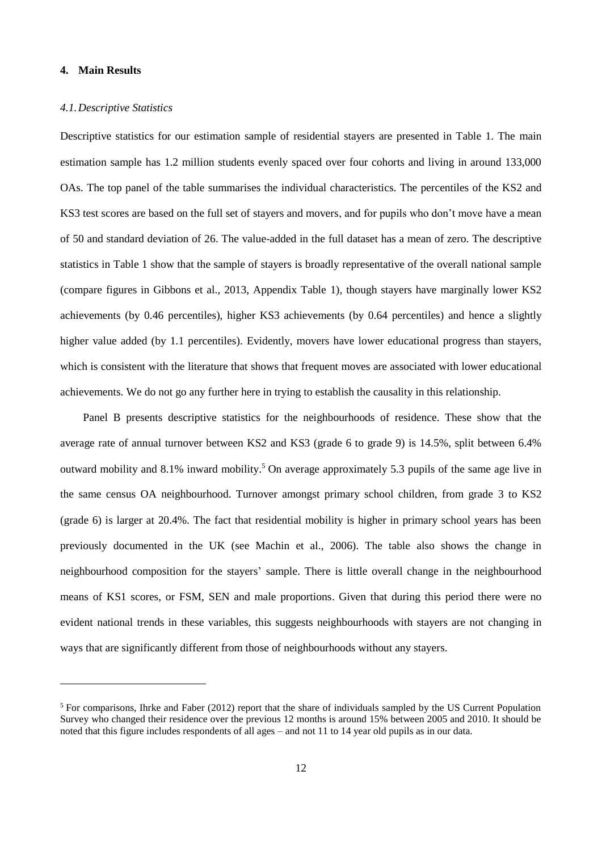#### **4. Main Results**

#### *4.1.Descriptive Statistics*

Descriptive statistics for our estimation sample of residential stayers are presented in Table 1. The main estimation sample has 1.2 million students evenly spaced over four cohorts and living in around 133,000 OAs. The top panel of the table summarises the individual characteristics. The percentiles of the KS2 and KS3 test scores are based on the full set of stayers and movers, and for pupils who don't move have a mean of 50 and standard deviation of 26. The value-added in the full dataset has a mean of zero. The descriptive statistics in Table 1 show that the sample of stayers is broadly representative of the overall national sample (compare figures in Gibbons et al., 2013, Appendix Table 1), though stayers have marginally lower KS2 achievements (by 0.46 percentiles), higher KS3 achievements (by 0.64 percentiles) and hence a slightly higher value added (by 1.1 percentiles). Evidently, movers have lower educational progress than stayers, which is consistent with the literature that shows that frequent moves are associated with lower educational achievements. We do not go any further here in trying to establish the causality in this relationship.

Panel B presents descriptive statistics for the neighbourhoods of residence. These show that the average rate of annual turnover between KS2 and KS3 (grade 6 to grade 9) is 14.5%, split between 6.4% outward mobility and 8.1% inward mobility.<sup>5</sup> On average approximately 5.3 pupils of the same age live in the same census OA neighbourhood. Turnover amongst primary school children, from grade 3 to KS2 (grade 6) is larger at 20.4%. The fact that residential mobility is higher in primary school years has been previously documented in the UK (see Machin et al., 2006). The table also shows the change in neighbourhood composition for the stayers' sample. There is little overall change in the neighbourhood means of KS1 scores, or FSM, SEN and male proportions. Given that during this period there were no evident national trends in these variables, this suggests neighbourhoods with stayers are not changing in ways that are significantly different from those of neighbourhoods without any stayers.

 $<sup>5</sup>$  For comparisons, Ihrke and Faber (2012) report that the share of individuals sampled by the US Current Population</sup> Survey who changed their residence over the previous 12 months is around 15% between 2005 and 2010. It should be noted that this figure includes respondents of all ages – and not 11 to 14 year old pupils as in our data.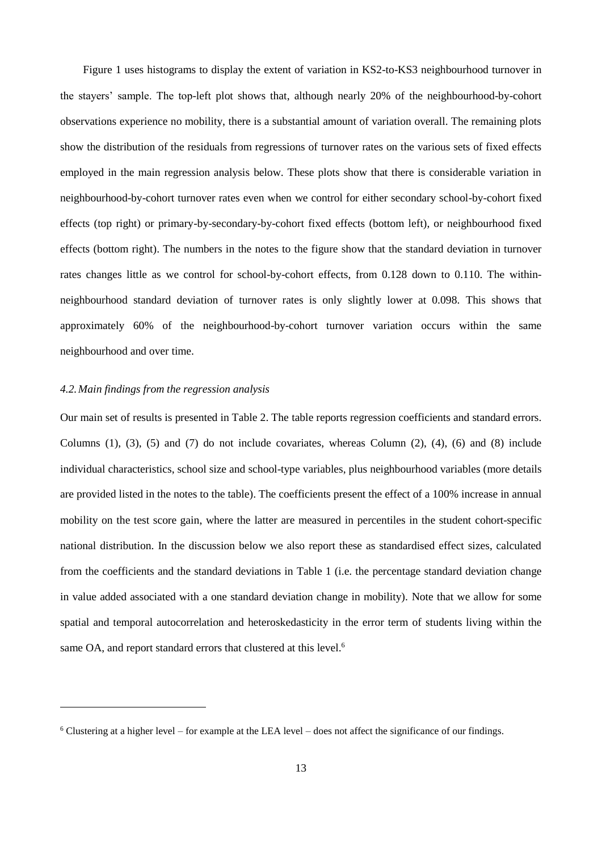Figure 1 uses histograms to display the extent of variation in KS2-to-KS3 neighbourhood turnover in the stayers' sample. The top-left plot shows that, although nearly 20% of the neighbourhood-by-cohort observations experience no mobility, there is a substantial amount of variation overall. The remaining plots show the distribution of the residuals from regressions of turnover rates on the various sets of fixed effects employed in the main regression analysis below. These plots show that there is considerable variation in neighbourhood-by-cohort turnover rates even when we control for either secondary school-by-cohort fixed effects (top right) or primary-by-secondary-by-cohort fixed effects (bottom left), or neighbourhood fixed effects (bottom right). The numbers in the notes to the figure show that the standard deviation in turnover rates changes little as we control for school-by-cohort effects, from 0.128 down to 0.110. The withinneighbourhood standard deviation of turnover rates is only slightly lower at 0.098. This shows that approximately 60% of the neighbourhood-by-cohort turnover variation occurs within the same neighbourhood and over time.

#### *4.2.Main findings from the regression analysis*

 $\overline{a}$ 

Our main set of results is presented in Table 2. The table reports regression coefficients and standard errors. Columns  $(1)$ ,  $(3)$ ,  $(5)$  and  $(7)$  do not include covariates, whereas Column  $(2)$ ,  $(4)$ ,  $(6)$  and  $(8)$  include individual characteristics, school size and school-type variables, plus neighbourhood variables (more details are provided listed in the notes to the table). The coefficients present the effect of a 100% increase in annual mobility on the test score gain, where the latter are measured in percentiles in the student cohort-specific national distribution. In the discussion below we also report these as standardised effect sizes, calculated from the coefficients and the standard deviations in Table 1 (i.e. the percentage standard deviation change in value added associated with a one standard deviation change in mobility). Note that we allow for some spatial and temporal autocorrelation and heteroskedasticity in the error term of students living within the same OA, and report standard errors that clustered at this level.<sup>6</sup>

<sup>6</sup> Clustering at a higher level – for example at the LEA level – does not affect the significance of our findings.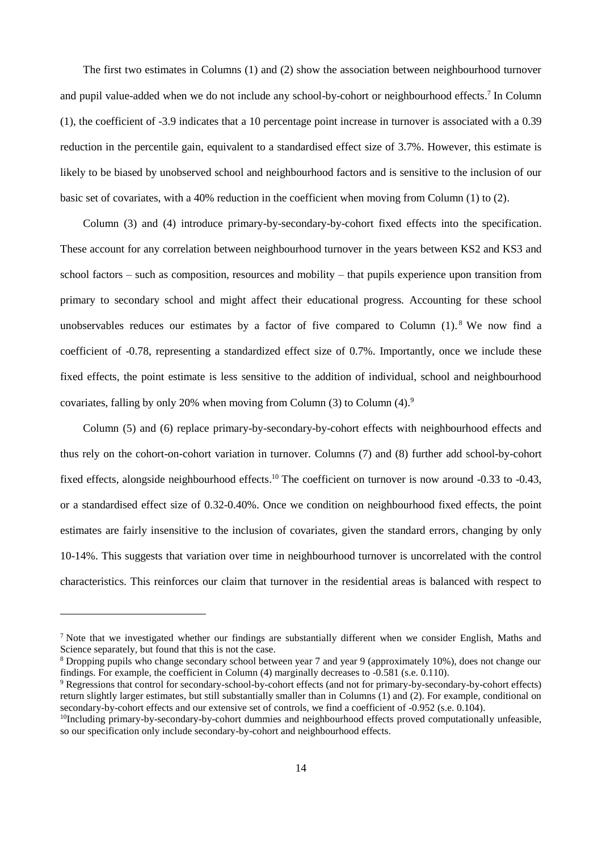The first two estimates in Columns (1) and (2) show the association between neighbourhood turnover and pupil value-added when we do not include any school-by-cohort or neighbourhood effects.<sup>7</sup> In Column (1), the coefficient of -3.9 indicates that a 10 percentage point increase in turnover is associated with a 0.39 reduction in the percentile gain, equivalent to a standardised effect size of 3.7%. However, this estimate is likely to be biased by unobserved school and neighbourhood factors and is sensitive to the inclusion of our basic set of covariates, with a 40% reduction in the coefficient when moving from Column (1) to (2).

Column (3) and (4) introduce primary-by-secondary-by-cohort fixed effects into the specification. These account for any correlation between neighbourhood turnover in the years between KS2 and KS3 and school factors – such as composition, resources and mobility – that pupils experience upon transition from primary to secondary school and might affect their educational progress. Accounting for these school unobservables reduces our estimates by a factor of five compared to Column  $(1)$ .<sup>8</sup> We now find a coefficient of -0.78, representing a standardized effect size of 0.7%. Importantly, once we include these fixed effects, the point estimate is less sensitive to the addition of individual, school and neighbourhood covariates, falling by only 20% when moving from Column  $(3)$  to Column  $(4)$ .<sup>9</sup>

Column (5) and (6) replace primary-by-secondary-by-cohort effects with neighbourhood effects and thus rely on the cohort-on-cohort variation in turnover. Columns (7) and (8) further add school-by-cohort fixed effects, alongside neighbourhood effects.<sup>10</sup> The coefficient on turnover is now around -0.33 to -0.43, or a standardised effect size of 0.32-0.40%. Once we condition on neighbourhood fixed effects, the point estimates are fairly insensitive to the inclusion of covariates, given the standard errors, changing by only 10-14%. This suggests that variation over time in neighbourhood turnover is uncorrelated with the control characteristics. This reinforces our claim that turnover in the residential areas is balanced with respect to

<sup>&</sup>lt;sup>7</sup> Note that we investigated whether our findings are substantially different when we consider English, Maths and Science separately, but found that this is not the case.

<sup>&</sup>lt;sup>8</sup> Dropping pupils who change secondary school between year 7 and year 9 (approximately 10%), does not change our findings. For example, the coefficient in Column (4) marginally decreases to -0.581 (s.e. 0.110).

<sup>&</sup>lt;sup>9</sup> Regressions that control for secondary-school-by-cohort effects (and not for primary-by-secondary-by-cohort effects) return slightly larger estimates, but still substantially smaller than in Columns (1) and (2). For example, conditional on secondary-by-cohort effects and our extensive set of controls, we find a coefficient of -0.952 (s.e. 0.104).

<sup>&</sup>lt;sup>10</sup>Including primary-by-secondary-by-cohort dummies and neighbourhood effects proved computationally unfeasible, so our specification only include secondary-by-cohort and neighbourhood effects.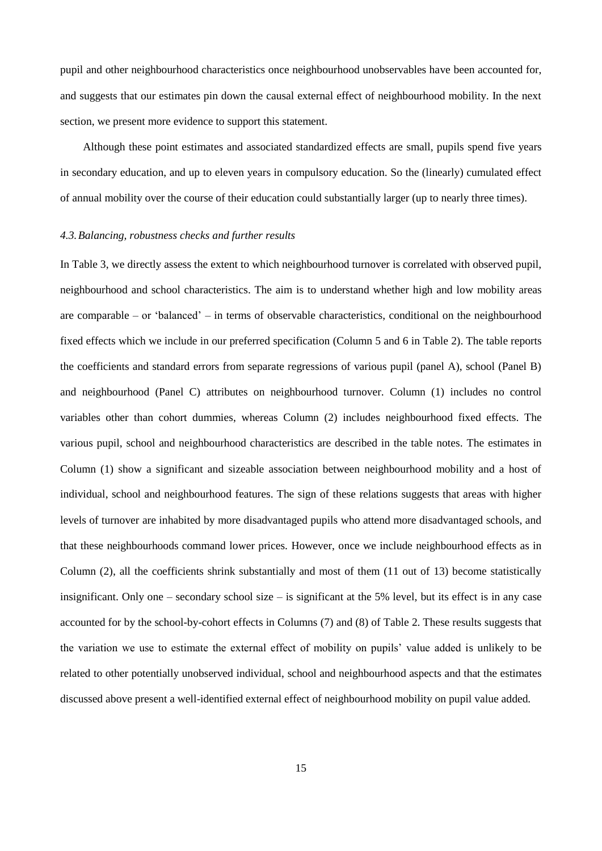pupil and other neighbourhood characteristics once neighbourhood unobservables have been accounted for, and suggests that our estimates pin down the causal external effect of neighbourhood mobility. In the next section, we present more evidence to support this statement.

Although these point estimates and associated standardized effects are small, pupils spend five years in secondary education, and up to eleven years in compulsory education. So the (linearly) cumulated effect of annual mobility over the course of their education could substantially larger (up to nearly three times).

#### *4.3.Balancing, robustness checks and further results*

In Table 3, we directly assess the extent to which neighbourhood turnover is correlated with observed pupil, neighbourhood and school characteristics. The aim is to understand whether high and low mobility areas are comparable – or 'balanced' – in terms of observable characteristics, conditional on the neighbourhood fixed effects which we include in our preferred specification (Column 5 and 6 in [Table 2\)](#page-37-0). The table reports the coefficients and standard errors from separate regressions of various pupil (panel A), school (Panel B) and neighbourhood (Panel C) attributes on neighbourhood turnover. Column (1) includes no control variables other than cohort dummies, whereas Column (2) includes neighbourhood fixed effects. The various pupil, school and neighbourhood characteristics are described in the table notes. The estimates in Column (1) show a significant and sizeable association between neighbourhood mobility and a host of individual, school and neighbourhood features. The sign of these relations suggests that areas with higher levels of turnover are inhabited by more disadvantaged pupils who attend more disadvantaged schools, and that these neighbourhoods command lower prices. However, once we include neighbourhood effects as in Column (2), all the coefficients shrink substantially and most of them (11 out of 13) become statistically insignificant. Only one – secondary school size – is significant at the 5% level, but its effect is in any case accounted for by the school-by-cohort effects in Columns (7) and (8) of [Table 2.](#page-37-0) These results suggests that the variation we use to estimate the external effect of mobility on pupils' value added is unlikely to be related to other potentially unobserved individual, school and neighbourhood aspects and that the estimates discussed above present a well-identified external effect of neighbourhood mobility on pupil value added.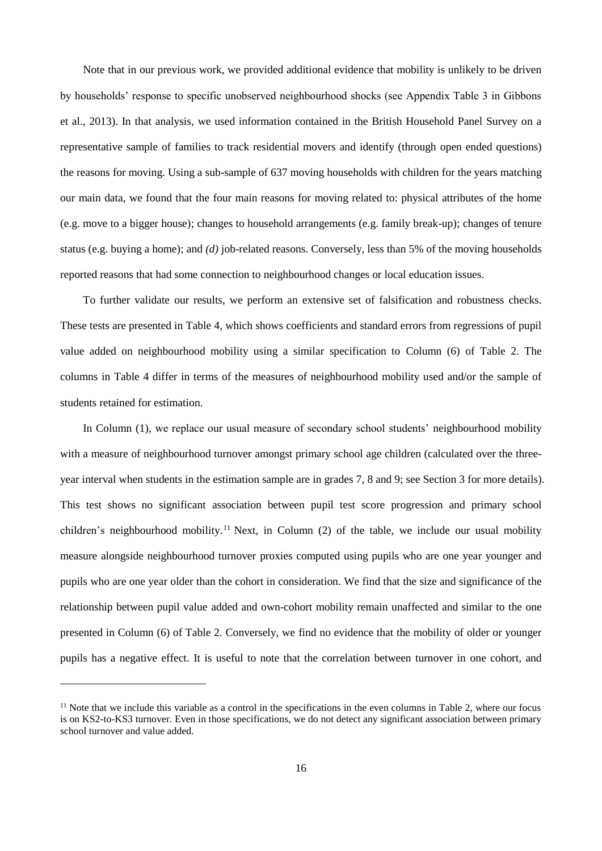Note that in our previous work, we provided additional evidence that mobility is unlikely to be driven by households' response to specific unobserved neighbourhood shocks (see Appendix Table 3 in Gibbons et al., 2013). In that analysis, we used information contained in the British Household Panel Survey on a representative sample of families to track residential movers and identify (through open ended questions) the reasons for moving. Using a sub-sample of 637 moving households with children for the years matching our main data, we found that the four main reasons for moving related to: physical attributes of the home (e.g. move to a bigger house); changes to household arrangements (e.g. family break-up); changes of tenure status (e.g. buying a home); and *(d)* job-related reasons. Conversely, less than 5% of the moving households reported reasons that had some connection to neighbourhood changes or local education issues.

To further validate our results, we perform an extensive set of falsification and robustness checks. These tests are presented in Table 4, which shows coefficients and standard errors from regressions of pupil value added on neighbourhood mobility using a similar specification to Column (6) of Table 2. The columns in Table 4 differ in terms of the measures of neighbourhood mobility used and/or the sample of students retained for estimation.

In Column (1), we replace our usual measure of secondary school students' neighbourhood mobility with a measure of neighbourhood turnover amongst primary school age children (calculated over the threeyear interval when students in the estimation sample are in grades 7, 8 and 9; see Section [3](#page-10-0) for more details). This test shows no significant association between pupil test score progression and primary school children's neighbourhood mobility.<sup>11</sup> Next, in Column (2) of the table, we include our usual mobility measure alongside neighbourhood turnover proxies computed using pupils who are one year younger and pupils who are one year older than the cohort in consideration. We find that the size and significance of the relationship between pupil value added and own-cohort mobility remain unaffected and similar to the one presented in Column (6) of Table 2. Conversely, we find no evidence that the mobility of older or younger pupils has a negative effect. It is useful to note that the correlation between turnover in one cohort, and

 $11$  Note that we include this variable as a control in the specifications in the even columns in Table 2, where our focus is on KS2-to-KS3 turnover. Even in those specifications, we do not detect any significant association between primary school turnover and value added.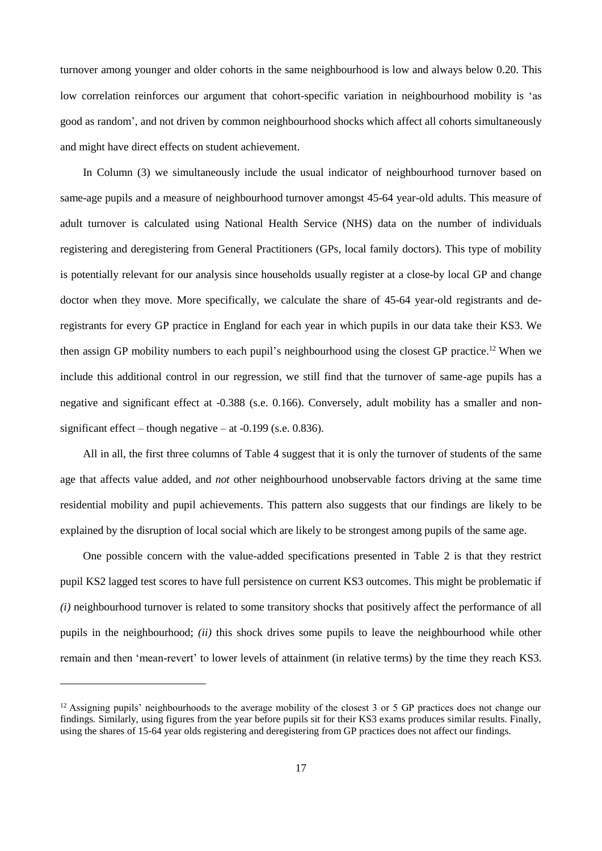turnover among younger and older cohorts in the same neighbourhood is low and always below 0.20. This low correlation reinforces our argument that cohort-specific variation in neighbourhood mobility is 'as good as random', and not driven by common neighbourhood shocks which affect all cohorts simultaneously and might have direct effects on student achievement.

In Column (3) we simultaneously include the usual indicator of neighbourhood turnover based on same-age pupils and a measure of neighbourhood turnover amongst 45-64 year-old adults. This measure of adult turnover is calculated using National Health Service (NHS) data on the number of individuals registering and deregistering from General Practitioners (GPs, local family doctors). This type of mobility is potentially relevant for our analysis since households usually register at a close-by local GP and change doctor when they move. More specifically, we calculate the share of 45-64 year-old registrants and deregistrants for every GP practice in England for each year in which pupils in our data take their KS3. We then assign GP mobility numbers to each pupil's neighbourhood using the closest GP practice.<sup>12</sup> When we include this additional control in our regression, we still find that the turnover of same-age pupils has a negative and significant effect at -0.388 (s.e. 0.166). Conversely, adult mobility has a smaller and nonsignificant effect – though negative – at  $-0.199$  (s.e. 0.836).

All in all, the first three columns of Table 4 suggest that it is only the turnover of students of the same age that affects value added, and *not* other neighbourhood unobservable factors driving at the same time residential mobility and pupil achievements. This pattern also suggests that our findings are likely to be explained by the disruption of local social which are likely to be strongest among pupils of the same age.

One possible concern with the value-added specifications presented in Table 2 is that they restrict pupil KS2 lagged test scores to have full persistence on current KS3 outcomes. This might be problematic if *(i)* neighbourhood turnover is related to some transitory shocks that positively affect the performance of all pupils in the neighbourhood; *(ii)* this shock drives some pupils to leave the neighbourhood while other remain and then 'mean-revert' to lower levels of attainment (in relative terms) by the time they reach KS3.

 $12$  Assigning pupils' neighbourhoods to the average mobility of the closest 3 or 5 GP practices does not change our findings. Similarly, using figures from the year before pupils sit for their KS3 exams produces similar results. Finally, using the shares of 15-64 year olds registering and deregistering from GP practices does not affect our findings.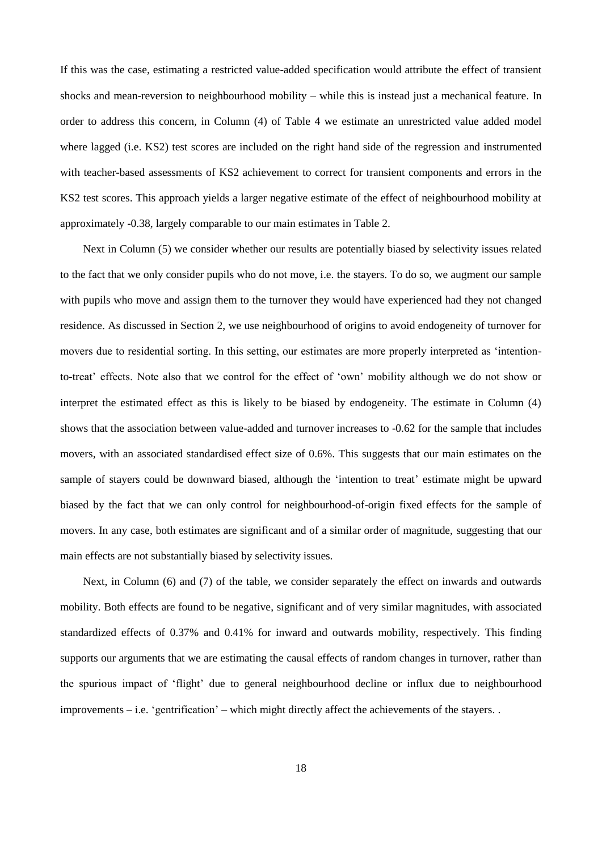If this was the case, estimating a restricted value-added specification would attribute the effect of transient shocks and mean-reversion to neighbourhood mobility – while this is instead just a mechanical feature. In order to address this concern, in Column (4) of Table 4 we estimate an unrestricted value added model where lagged (i.e. KS2) test scores are included on the right hand side of the regression and instrumented with teacher-based assessments of KS2 achievement to correct for transient components and errors in the KS2 test scores. This approach yields a larger negative estimate of the effect of neighbourhood mobility at approximately -0.38, largely comparable to our main estimates in Table 2.

Next in Column (5) we consider whether our results are potentially biased by selectivity issues related to the fact that we only consider pupils who do not move, i.e. the stayers. To do so, we augment our sample with pupils who move and assign them to the turnover they would have experienced had they not changed residence. As discussed in Section 2, we use neighbourhood of origins to avoid endogeneity of turnover for movers due to residential sorting. In this setting, our estimates are more properly interpreted as 'intentionto-treat' effects. Note also that we control for the effect of 'own' mobility although we do not show or interpret the estimated effect as this is likely to be biased by endogeneity. The estimate in Column (4) shows that the association between value-added and turnover increases to -0.62 for the sample that includes movers, with an associated standardised effect size of 0.6%. This suggests that our main estimates on the sample of stayers could be downward biased, although the 'intention to treat' estimate might be upward biased by the fact that we can only control for neighbourhood-of-origin fixed effects for the sample of movers. In any case, both estimates are significant and of a similar order of magnitude, suggesting that our main effects are not substantially biased by selectivity issues.

Next, in Column (6) and (7) of the table, we consider separately the effect on inwards and outwards mobility. Both effects are found to be negative, significant and of very similar magnitudes, with associated standardized effects of 0.37% and 0.41% for inward and outwards mobility, respectively. This finding supports our arguments that we are estimating the causal effects of random changes in turnover, rather than the spurious impact of 'flight' due to general neighbourhood decline or influx due to neighbourhood improvements – i.e. 'gentrification' – which might directly affect the achievements of the stayers. .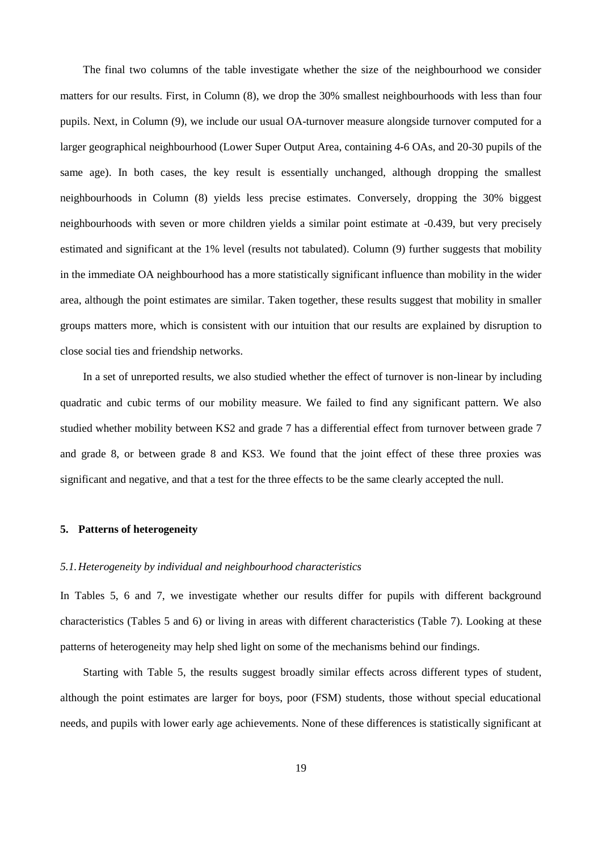The final two columns of the table investigate whether the size of the neighbourhood we consider matters for our results. First, in Column (8), we drop the 30% smallest neighbourhoods with less than four pupils. Next, in Column (9), we include our usual OA-turnover measure alongside turnover computed for a larger geographical neighbourhood (Lower Super Output Area, containing 4-6 OAs, and 20-30 pupils of the same age). In both cases, the key result is essentially unchanged, although dropping the smallest neighbourhoods in Column (8) yields less precise estimates. Conversely, dropping the 30% biggest neighbourhoods with seven or more children yields a similar point estimate at -0.439, but very precisely estimated and significant at the 1% level (results not tabulated). Column (9) further suggests that mobility in the immediate OA neighbourhood has a more statistically significant influence than mobility in the wider area, although the point estimates are similar. Taken together, these results suggest that mobility in smaller groups matters more, which is consistent with our intuition that our results are explained by disruption to close social ties and friendship networks.

In a set of unreported results, we also studied whether the effect of turnover is non-linear by including quadratic and cubic terms of our mobility measure. We failed to find any significant pattern. We also studied whether mobility between KS2 and grade 7 has a differential effect from turnover between grade 7 and grade 8, or between grade 8 and KS3. We found that the joint effect of these three proxies was significant and negative, and that a test for the three effects to be the same clearly accepted the null.

#### <span id="page-21-0"></span>**5. Patterns of heterogeneity**

#### *5.1.Heterogeneity by individual and neighbourhood characteristics*

In Tables 5, 6 and 7, we investigate whether our results differ for pupils with different background characteristics (Tables 5 and 6) or living in areas with different characteristics (Table 7). Looking at these patterns of heterogeneity may help shed light on some of the mechanisms behind our findings.

Starting with Table 5, the results suggest broadly similar effects across different types of student, although the point estimates are larger for boys, poor (FSM) students, those without special educational needs, and pupils with lower early age achievements. None of these differences is statistically significant at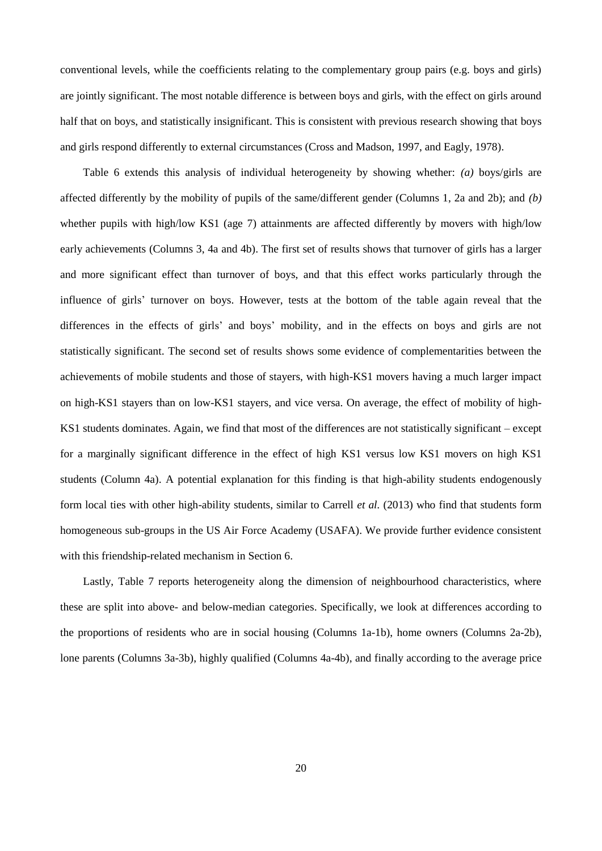conventional levels, while the coefficients relating to the complementary group pairs (e.g. boys and girls) are jointly significant. The most notable difference is between boys and girls, with the effect on girls around half that on boys, and statistically insignificant. This is consistent with previous research showing that boys and girls respond differently to external circumstances (Cross and Madson, 1997, and Eagly, 1978).

Table 6 extends this analysis of individual heterogeneity by showing whether: *(a)* boys/girls are affected differently by the mobility of pupils of the same/different gender (Columns 1, 2a and 2b); and *(b)* whether pupils with high/low KS1 (age 7) attainments are affected differently by movers with high/low early achievements (Columns 3, 4a and 4b). The first set of results shows that turnover of girls has a larger and more significant effect than turnover of boys, and that this effect works particularly through the influence of girls' turnover on boys. However, tests at the bottom of the table again reveal that the differences in the effects of girls' and boys' mobility, and in the effects on boys and girls are not statistically significant. The second set of results shows some evidence of complementarities between the achievements of mobile students and those of stayers, with high-KS1 movers having a much larger impact on high-KS1 stayers than on low-KS1 stayers, and vice versa. On average, the effect of mobility of high-KS1 students dominates. Again, we find that most of the differences are not statistically significant – except for a marginally significant difference in the effect of high KS1 versus low KS1 movers on high KS1 students (Column 4a). A potential explanation for this finding is that high-ability students endogenously form local ties with other high-ability students, similar to Carrell *et al.* (2013) who find that students form homogeneous sub-groups in the US Air Force Academy (USAFA). We provide further evidence consistent with this friendship-related mechanism in Section [6.](#page-26-0)

Lastly, Table 7 reports heterogeneity along the dimension of neighbourhood characteristics, where these are split into above- and below-median categories. Specifically, we look at differences according to the proportions of residents who are in social housing (Columns 1a-1b), home owners (Columns 2a-2b), lone parents (Columns 3a-3b), highly qualified (Columns 4a-4b), and finally according to the average price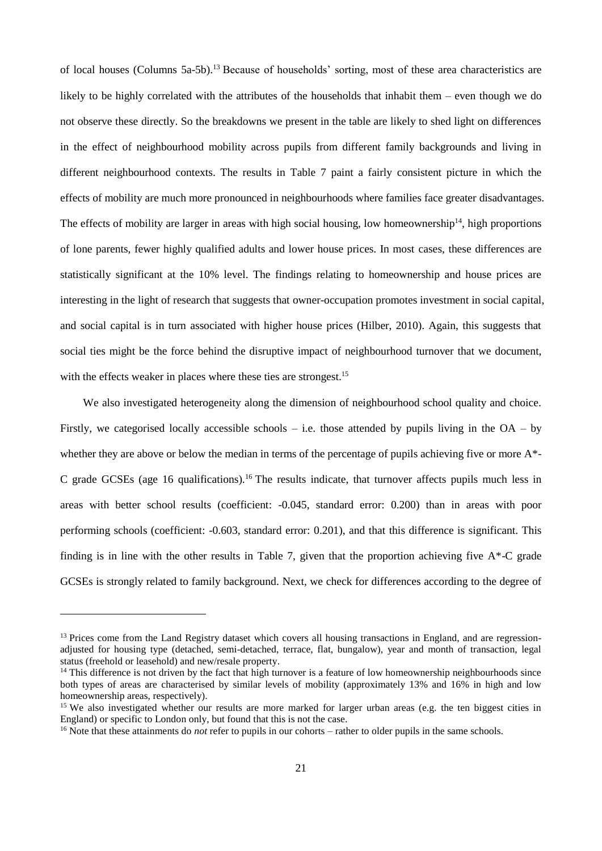of local houses (Columns 5a-5b).<sup>13</sup> Because of households' sorting, most of these area characteristics are likely to be highly correlated with the attributes of the households that inhabit them – even though we do not observe these directly. So the breakdowns we present in the table are likely to shed light on differences in the effect of neighbourhood mobility across pupils from different family backgrounds and living in different neighbourhood contexts. The results in Table 7 paint a fairly consistent picture in which the effects of mobility are much more pronounced in neighbourhoods where families face greater disadvantages. The effects of mobility are larger in areas with high social housing, low homeownership<sup>14</sup>, high proportions of lone parents, fewer highly qualified adults and lower house prices. In most cases, these differences are statistically significant at the 10% level. The findings relating to homeownership and house prices are interesting in the light of research that suggests that owner-occupation promotes investment in social capital, and social capital is in turn associated with higher house prices (Hilber, 2010). Again, this suggests that social ties might be the force behind the disruptive impact of neighbourhood turnover that we document, with the effects weaker in places where these ties are strongest.<sup>15</sup>

We also investigated heterogeneity along the dimension of neighbourhood school quality and choice. Firstly, we categorised locally accessible schools – i.e. those attended by pupils living in the  $OA - by$ whether they are above or below the median in terms of the percentage of pupils achieving five or more  $A^*$ -C grade GCSEs (age 16 qualifications).<sup>16</sup> The results indicate, that turnover affects pupils much less in areas with better school results (coefficient: -0.045, standard error: 0.200) than in areas with poor performing schools (coefficient: -0.603, standard error: 0.201), and that this difference is significant. This finding is in line with the other results in Table 7, given that the proportion achieving five  $A^*$ -C grade GCSEs is strongly related to family background. Next, we check for differences according to the degree of

<sup>&</sup>lt;sup>13</sup> Prices come from the Land Registry dataset which covers all housing transactions in England, and are regressionadjusted for housing type (detached, semi-detached, terrace, flat, bungalow), year and month of transaction, legal status (freehold or leasehold) and new/resale property.

 $14$  This difference is not driven by the fact that high turnover is a feature of low homeownership neighbourhoods since both types of areas are characterised by similar levels of mobility (approximately 13% and 16% in high and low homeownership areas, respectively).

<sup>&</sup>lt;sup>15</sup> We also investigated whether our results are more marked for larger urban areas (e.g. the ten biggest cities in England) or specific to London only, but found that this is not the case.

<sup>&</sup>lt;sup>16</sup> Note that these attainments do *not* refer to pupils in our cohorts – rather to older pupils in the same schools.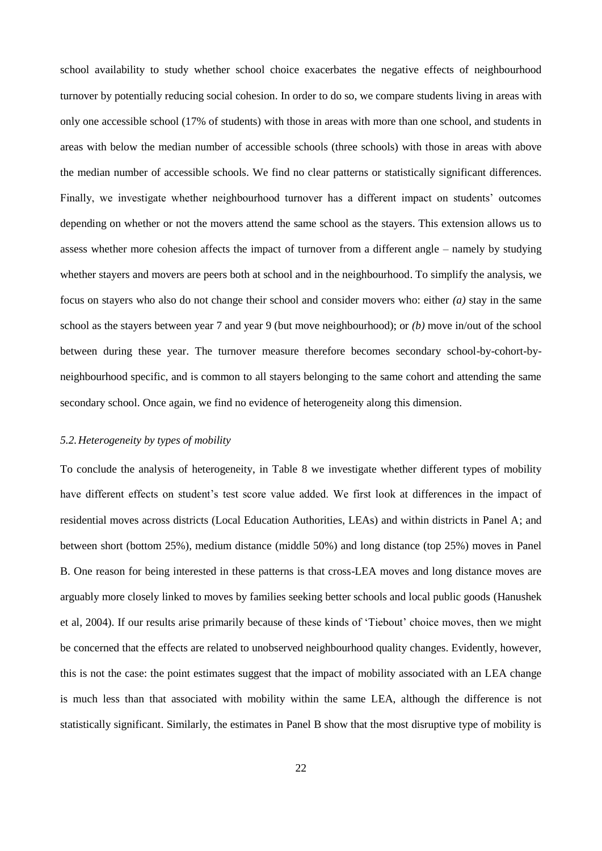school availability to study whether school choice exacerbates the negative effects of neighbourhood turnover by potentially reducing social cohesion. In order to do so, we compare students living in areas with only one accessible school (17% of students) with those in areas with more than one school, and students in areas with below the median number of accessible schools (three schools) with those in areas with above the median number of accessible schools. We find no clear patterns or statistically significant differences. Finally, we investigate whether neighbourhood turnover has a different impact on students' outcomes depending on whether or not the movers attend the same school as the stayers. This extension allows us to assess whether more cohesion affects the impact of turnover from a different angle – namely by studying whether stayers and movers are peers both at school and in the neighbourhood. To simplify the analysis, we focus on stayers who also do not change their school and consider movers who: either *(a)* stay in the same school as the stayers between year 7 and year 9 (but move neighbourhood); or *(b)* move in/out of the school between during these year. The turnover measure therefore becomes secondary school-by-cohort-byneighbourhood specific, and is common to all stayers belonging to the same cohort and attending the same secondary school. Once again, we find no evidence of heterogeneity along this dimension.

#### *5.2.Heterogeneity by types of mobility*

To conclude the analysis of heterogeneity, in Table 8 we investigate whether different types of mobility have different effects on student's test score value added. We first look at differences in the impact of residential moves across districts (Local Education Authorities, LEAs) and within districts in Panel A; and between short (bottom 25%), medium distance (middle 50%) and long distance (top 25%) moves in Panel B. One reason for being interested in these patterns is that cross-LEA moves and long distance moves are arguably more closely linked to moves by families seeking better schools and local public goods (Hanushek et al, 2004). If our results arise primarily because of these kinds of 'Tiebout' choice moves, then we might be concerned that the effects are related to unobserved neighbourhood quality changes. Evidently, however, this is not the case: the point estimates suggest that the impact of mobility associated with an LEA change is much less than that associated with mobility within the same LEA, although the difference is not statistically significant. Similarly, the estimates in Panel B show that the most disruptive type of mobility is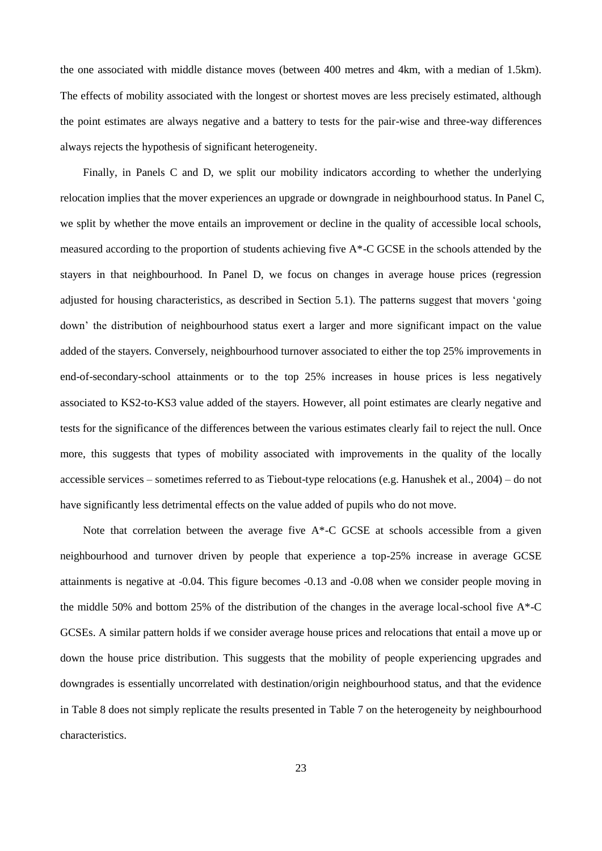the one associated with middle distance moves (between 400 metres and 4km, with a median of 1.5km). The effects of mobility associated with the longest or shortest moves are less precisely estimated, although the point estimates are always negative and a battery to tests for the pair-wise and three-way differences always rejects the hypothesis of significant heterogeneity.

Finally, in Panels C and D, we split our mobility indicators according to whether the underlying relocation implies that the mover experiences an upgrade or downgrade in neighbourhood status. In Panel C, we split by whether the move entails an improvement or decline in the quality of accessible local schools, measured according to the proportion of students achieving five A\*-C GCSE in the schools attended by the stayers in that neighbourhood. In Panel D, we focus on changes in average house prices (regression adjusted for housing characteristics, as described in Section 5.1). The patterns suggest that movers 'going down' the distribution of neighbourhood status exert a larger and more significant impact on the value added of the stayers. Conversely, neighbourhood turnover associated to either the top 25% improvements in end-of-secondary-school attainments or to the top 25% increases in house prices is less negatively associated to KS2-to-KS3 value added of the stayers. However, all point estimates are clearly negative and tests for the significance of the differences between the various estimates clearly fail to reject the null. Once more, this suggests that types of mobility associated with improvements in the quality of the locally accessible services – sometimes referred to as Tiebout-type relocations (e.g. Hanushek et al., 2004) – do not have significantly less detrimental effects on the value added of pupils who do not move.

Note that correlation between the average five  $A^*$ -C GCSE at schools accessible from a given neighbourhood and turnover driven by people that experience a top-25% increase in average GCSE attainments is negative at -0.04. This figure becomes -0.13 and -0.08 when we consider people moving in the middle 50% and bottom 25% of the distribution of the changes in the average local-school five A\*-C GCSEs. A similar pattern holds if we consider average house prices and relocations that entail a move up or down the house price distribution. This suggests that the mobility of people experiencing upgrades and downgrades is essentially uncorrelated with destination/origin neighbourhood status, and that the evidence in Table 8 does not simply replicate the results presented in Table 7 on the heterogeneity by neighbourhood characteristics.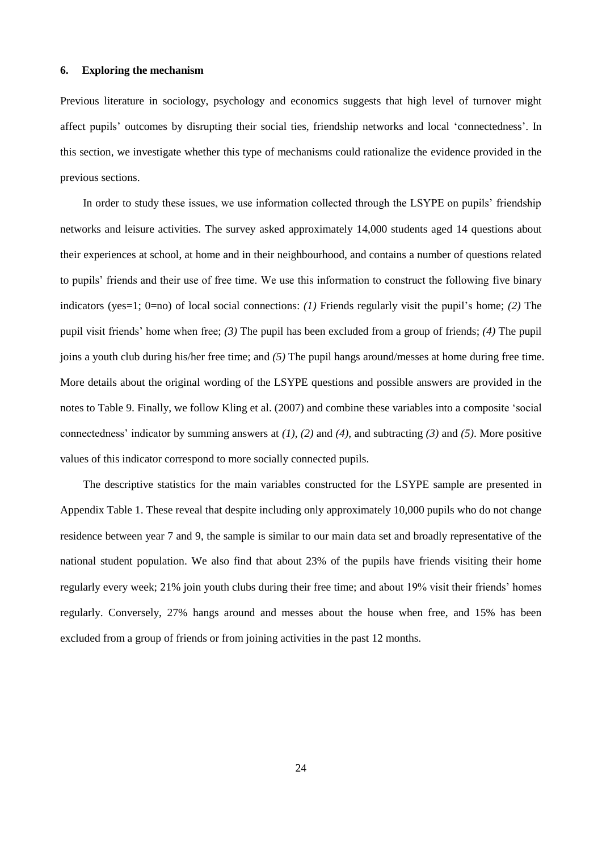#### <span id="page-26-0"></span>**6. Exploring the mechanism**

Previous literature in sociology, psychology and economics suggests that high level of turnover might affect pupils' outcomes by disrupting their social ties, friendship networks and local 'connectedness'. In this section, we investigate whether this type of mechanisms could rationalize the evidence provided in the previous sections.

In order to study these issues, we use information collected through the LSYPE on pupils' friendship networks and leisure activities. The survey asked approximately 14,000 students aged 14 questions about their experiences at school, at home and in their neighbourhood, and contains a number of questions related to pupils' friends and their use of free time. We use this information to construct the following five binary indicators (yes=1; 0=no) of local social connections: *(1)* Friends regularly visit the pupil's home; *(2)* The pupil visit friends' home when free; *(3)* The pupil has been excluded from a group of friends; *(4)* The pupil joins a youth club during his/her free time; and *(5)* The pupil hangs around/messes at home during free time. More details about the original wording of the LSYPE questions and possible answers are provided in the notes to Table 9. Finally, we follow Kling et al. (2007) and combine these variables into a composite 'social connectedness' indicator by summing answers at *(1)*, *(2)* and *(4)*, and subtracting *(3)* and *(5)*. More positive values of this indicator correspond to more socially connected pupils.

The descriptive statistics for the main variables constructed for the LSYPE sample are presented in Appendix Table 1. These reveal that despite including only approximately 10,000 pupils who do not change residence between year 7 and 9, the sample is similar to our main data set and broadly representative of the national student population. We also find that about 23% of the pupils have friends visiting their home regularly every week; 21% join youth clubs during their free time; and about 19% visit their friends' homes regularly. Conversely, 27% hangs around and messes about the house when free, and 15% has been excluded from a group of friends or from joining activities in the past 12 months.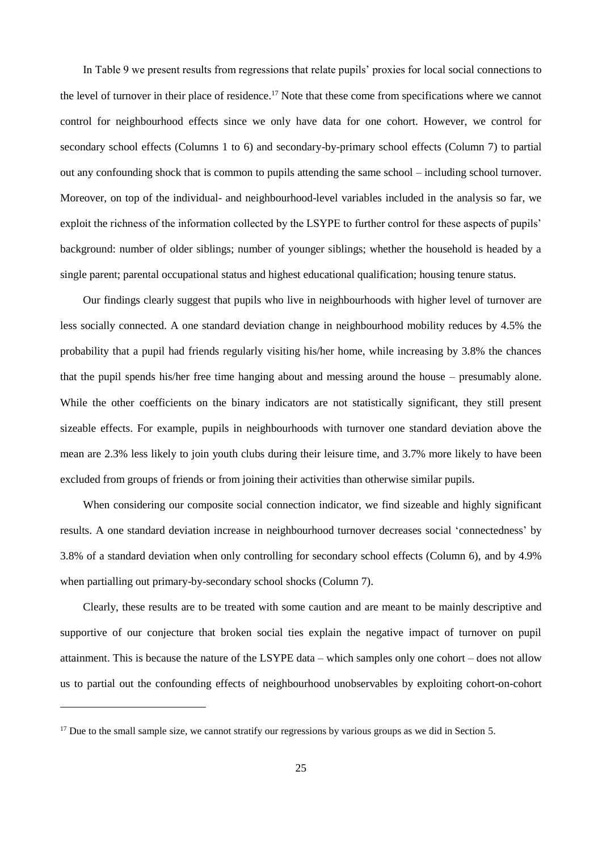In Table 9 we present results from regressions that relate pupils' proxies for local social connections to the level of turnover in their place of residence.<sup>17</sup> Note that these come from specifications where we cannot control for neighbourhood effects since we only have data for one cohort. However, we control for secondary school effects (Columns 1 to 6) and secondary-by-primary school effects (Column 7) to partial out any confounding shock that is common to pupils attending the same school – including school turnover. Moreover, on top of the individual- and neighbourhood-level variables included in the analysis so far, we exploit the richness of the information collected by the LSYPE to further control for these aspects of pupils' background: number of older siblings; number of younger siblings; whether the household is headed by a single parent; parental occupational status and highest educational qualification; housing tenure status.

Our findings clearly suggest that pupils who live in neighbourhoods with higher level of turnover are less socially connected. A one standard deviation change in neighbourhood mobility reduces by 4.5% the probability that a pupil had friends regularly visiting his/her home, while increasing by 3.8% the chances that the pupil spends his/her free time hanging about and messing around the house – presumably alone. While the other coefficients on the binary indicators are not statistically significant, they still present sizeable effects. For example, pupils in neighbourhoods with turnover one standard deviation above the mean are 2.3% less likely to join youth clubs during their leisure time, and 3.7% more likely to have been excluded from groups of friends or from joining their activities than otherwise similar pupils.

When considering our composite social connection indicator, we find sizeable and highly significant results. A one standard deviation increase in neighbourhood turnover decreases social 'connectedness' by 3.8% of a standard deviation when only controlling for secondary school effects (Column 6), and by 4.9% when partialling out primary-by-secondary school shocks (Column 7).

Clearly, these results are to be treated with some caution and are meant to be mainly descriptive and supportive of our conjecture that broken social ties explain the negative impact of turnover on pupil attainment. This is because the nature of the LSYPE data – which samples only one cohort – does not allow us to partial out the confounding effects of neighbourhood unobservables by exploiting cohort-on-cohort

 $\overline{a}$ 

<sup>&</sup>lt;sup>17</sup> Due to the small sample size, we cannot stratify our regressions by various groups as we did in Section [5.](#page-21-0)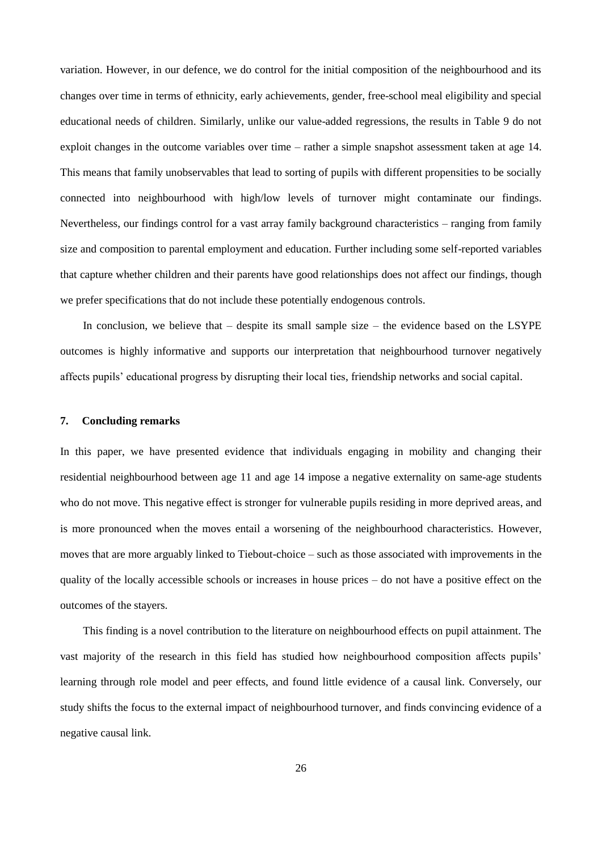variation. However, in our defence, we do control for the initial composition of the neighbourhood and its changes over time in terms of ethnicity, early achievements, gender, free-school meal eligibility and special educational needs of children. Similarly, unlike our value-added regressions, the results in Table 9 do not exploit changes in the outcome variables over time – rather a simple snapshot assessment taken at age 14. This means that family unobservables that lead to sorting of pupils with different propensities to be socially connected into neighbourhood with high/low levels of turnover might contaminate our findings. Nevertheless, our findings control for a vast array family background characteristics – ranging from family size and composition to parental employment and education. Further including some self-reported variables that capture whether children and their parents have good relationships does not affect our findings, though we prefer specifications that do not include these potentially endogenous controls.

In conclusion, we believe that  $-$  despite its small sample size  $-$  the evidence based on the LSYPE outcomes is highly informative and supports our interpretation that neighbourhood turnover negatively affects pupils' educational progress by disrupting their local ties, friendship networks and social capital.

#### <span id="page-28-0"></span>**7. Concluding remarks**

In this paper, we have presented evidence that individuals engaging in mobility and changing their residential neighbourhood between age 11 and age 14 impose a negative externality on same-age students who do not move. This negative effect is stronger for vulnerable pupils residing in more deprived areas, and is more pronounced when the moves entail a worsening of the neighbourhood characteristics. However, moves that are more arguably linked to Tiebout-choice – such as those associated with improvements in the quality of the locally accessible schools or increases in house prices – do not have a positive effect on the outcomes of the stayers.

This finding is a novel contribution to the literature on neighbourhood effects on pupil attainment. The vast majority of the research in this field has studied how neighbourhood composition affects pupils' learning through role model and peer effects, and found little evidence of a causal link. Conversely, our study shifts the focus to the external impact of neighbourhood turnover, and finds convincing evidence of a negative causal link.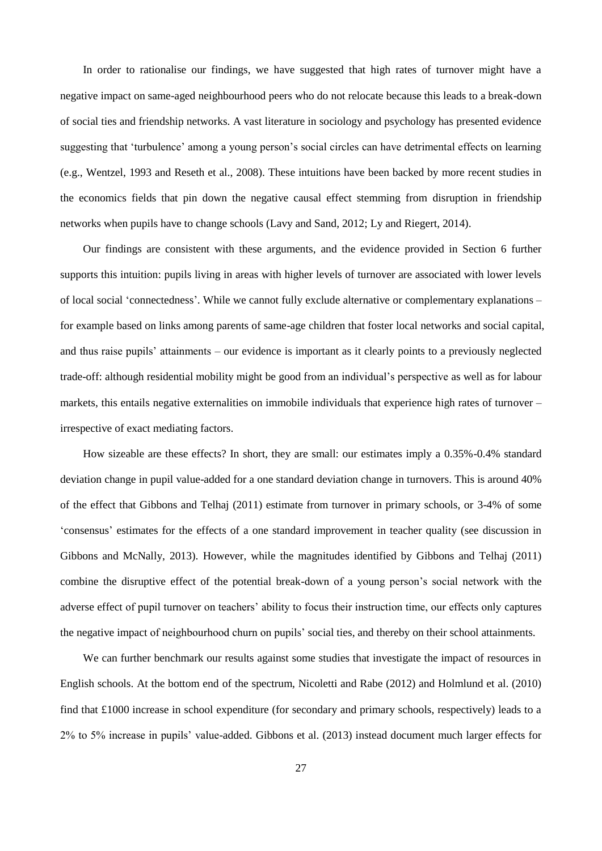In order to rationalise our findings, we have suggested that high rates of turnover might have a negative impact on same-aged neighbourhood peers who do not relocate because this leads to a break-down of social ties and friendship networks. A vast literature in sociology and psychology has presented evidence suggesting that 'turbulence' among a young person's social circles can have detrimental effects on learning (e.g., Wentzel, 1993 and Reseth et al., 2008). These intuitions have been backed by more recent studies in the economics fields that pin down the negative causal effect stemming from disruption in friendship networks when pupils have to change schools (Lavy and Sand, 2012; Ly and Riegert, 2014).

Our findings are consistent with these arguments, and the evidence provided in Section [6](#page-26-0) further supports this intuition: pupils living in areas with higher levels of turnover are associated with lower levels of local social 'connectedness'. While we cannot fully exclude alternative or complementary explanations – for example based on links among parents of same-age children that foster local networks and social capital, and thus raise pupils' attainments – our evidence is important as it clearly points to a previously neglected trade-off: although residential mobility might be good from an individual's perspective as well as for labour markets, this entails negative externalities on immobile individuals that experience high rates of turnover – irrespective of exact mediating factors.

How sizeable are these effects? In short, they are small: our estimates imply a 0.35%-0.4% standard deviation change in pupil value-added for a one standard deviation change in turnovers. This is around 40% of the effect that Gibbons and Telhaj (2011) estimate from turnover in primary schools, or 3-4% of some 'consensus' estimates for the effects of a one standard improvement in teacher quality (see discussion in Gibbons and McNally, 2013). However, while the magnitudes identified by Gibbons and Telhaj (2011) combine the disruptive effect of the potential break-down of a young person's social network with the adverse effect of pupil turnover on teachers' ability to focus their instruction time, our effects only captures the negative impact of neighbourhood churn on pupils' social ties, and thereby on their school attainments.

We can further benchmark our results against some studies that investigate the impact of resources in English schools. At the bottom end of the spectrum, Nicoletti and Rabe (2012) and Holmlund et al. (2010) find that £1000 increase in school expenditure (for secondary and primary schools, respectively) leads to a 2% to 5% increase in pupils' value-added. Gibbons et al. (2013) instead document much larger effects for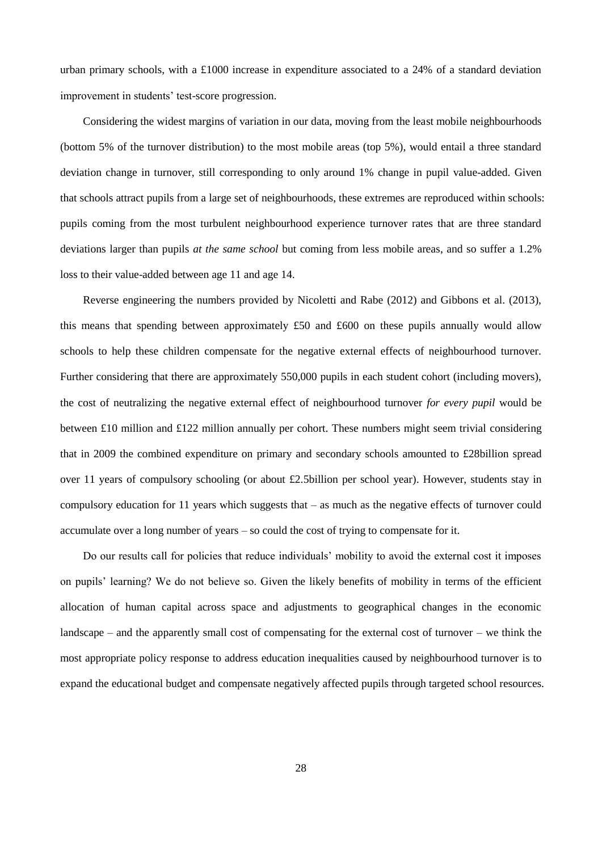urban primary schools, with a £1000 increase in expenditure associated to a 24% of a standard deviation improvement in students' test-score progression.

Considering the widest margins of variation in our data, moving from the least mobile neighbourhoods (bottom 5% of the turnover distribution) to the most mobile areas (top 5%), would entail a three standard deviation change in turnover, still corresponding to only around 1% change in pupil value-added. Given that schools attract pupils from a large set of neighbourhoods, these extremes are reproduced within schools: pupils coming from the most turbulent neighbourhood experience turnover rates that are three standard deviations larger than pupils *at the same school* but coming from less mobile areas, and so suffer a 1.2% loss to their value-added between age 11 and age 14.

Reverse engineering the numbers provided by Nicoletti and Rabe (2012) and Gibbons et al. (2013), this means that spending between approximately £50 and £600 on these pupils annually would allow schools to help these children compensate for the negative external effects of neighbourhood turnover. Further considering that there are approximately 550,000 pupils in each student cohort (including movers), the cost of neutralizing the negative external effect of neighbourhood turnover *for every pupil* would be between £10 million and £122 million annually per cohort. These numbers might seem trivial considering that in 2009 the combined expenditure on primary and secondary schools amounted to £28billion spread over 11 years of compulsory schooling (or about £2.5billion per school year). However, students stay in compulsory education for 11 years which suggests that – as much as the negative effects of turnover could accumulate over a long number of years – so could the cost of trying to compensate for it.

Do our results call for policies that reduce individuals' mobility to avoid the external cost it imposes on pupils' learning? We do not believe so. Given the likely benefits of mobility in terms of the efficient allocation of human capital across space and adjustments to geographical changes in the economic landscape – and the apparently small cost of compensating for the external cost of turnover – we think the most appropriate policy response to address education inequalities caused by neighbourhood turnover is to expand the educational budget and compensate negatively affected pupils through targeted school resources.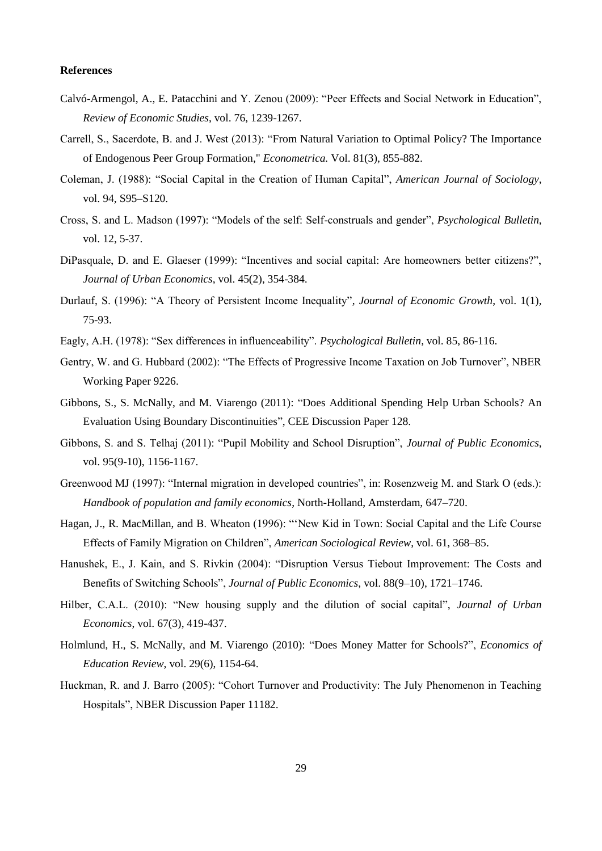#### **References**

- Calvó-Armengol, A., E. Patacchini and Y. Zenou (2009): "Peer Effects and Social Network in Education", *Review of Economic Studies*, vol. 76, 1239-1267.
- Carrell, S., Sacerdote, B. and J. West (2013): "From Natural Variation to Optimal Policy? The Importance of Endogenous Peer Group Formation," *Econometrica.* Vol. 81(3), 855-882.
- Coleman, J. (1988): "Social Capital in the Creation of Human Capital", *American Journal of Sociology*, vol. 94, S95–S120.
- Cross, S. and L. Madson (1997): "Models of the self: Self-construals and gender", *Psychological Bulletin*, vol. 12, 5-37.
- DiPasquale, D. and E. Glaeser (1999): "Incentives and social capital: Are homeowners better citizens?", *Journal of Urban Economics*, vol. 45(2), 354-384.
- Durlauf, S. (1996): "A Theory of Persistent Income Inequality", *Journal of Economic Growth*, vol. 1(1), 75-93.
- Eagly, A.H. (1978): "Sex differences in influenceability". *Psychological Bulletin*, vol. 85, 86-116.
- Gentry, W. and G. Hubbard (2002): "The Effects of Progressive Income Taxation on Job Turnover", NBER Working Paper 9226.
- Gibbons, S., S. McNally, and M. Viarengo (2011): "Does Additional Spending Help Urban Schools? An Evaluation Using Boundary Discontinuities", CEE Discussion Paper 128.
- Gibbons, S. and S. Telhaj (2011): "Pupil Mobility and School Disruption", *Journal of Public Economics*, vol. 95(9-10), 1156-1167.
- Greenwood MJ (1997): "Internal migration in developed countries", in: Rosenzweig M. and Stark O (eds.): *Handbook of population and family economics*, North-Holland, Amsterdam, 647–720.
- Hagan, J., R. MacMillan, and B. Wheaton (1996): "'New Kid in Town: Social Capital and the Life Course Effects of Family Migration on Children", *American Sociological Review*, vol. 61, 368–85.
- Hanushek, E., J. Kain, and S. Rivkin (2004): "Disruption Versus Tiebout Improvement: The Costs and Benefits of Switching Schools", *Journal of Public Economics*, vol. 88(9–10), 1721–1746.
- Hilber, C.A.L. (2010): "New housing supply and the dilution of social capital", *Journal of Urban Economics*, vol. 67(3), 419-437.
- Holmlund, H., S. McNally, and M. Viarengo (2010): "Does Money Matter for Schools?", *Economics of Education Review*, vol. 29(6), 1154-64.
- Huckman, R. and J. Barro (2005): "Cohort Turnover and Productivity: The July Phenomenon in Teaching Hospitals", NBER Discussion Paper 11182.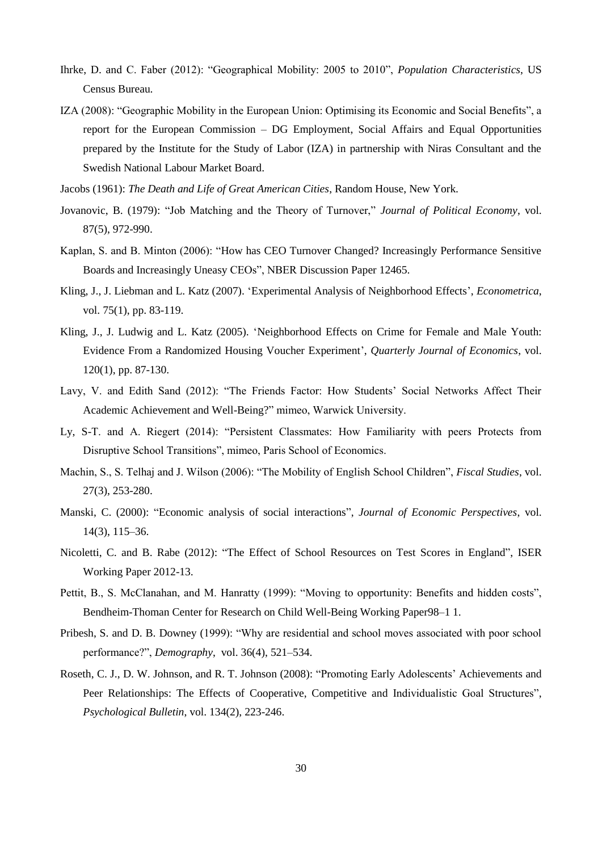- Ihrke, D. and C. Faber (2012): "Geographical Mobility: 2005 to 2010", *Population Characteristics*, US Census Bureau.
- IZA (2008): "Geographic Mobility in the European Union: Optimising its Economic and Social Benefits", a report for the European Commission – DG Employment, Social Affairs and Equal Opportunities prepared by the Institute for the Study of Labor (IZA) in partnership with Niras Consultant and the Swedish National Labour Market Board.
- Jacobs (1961): *The Death and Life of Great American Cities*, Random House, New York.
- Jovanovic, B. (1979): "Job Matching and the Theory of Turnover," *Journal of Political Economy*, vol. 87(5), 972-990.
- Kaplan, S. and B. Minton (2006): "How has CEO Turnover Changed? Increasingly Performance Sensitive Boards and Increasingly Uneasy CEOs", NBER Discussion Paper 12465.
- Kling, J., J. Liebman and L. Katz (2007). 'Experimental Analysis of Neighborhood Effects', *Econometrica*, vol. 75(1), pp. 83-119.
- Kling, J., J. Ludwig and L. Katz (2005). 'Neighborhood Effects on Crime for Female and Male Youth: Evidence From a Randomized Housing Voucher Experiment', *Quarterly Journal of Economics*, vol. 120(1), pp. 87-130.
- Lavy, V. and Edith Sand (2012): "The Friends Factor: How Students' Social Networks Affect Their Academic Achievement and Well-Being?" mimeo, Warwick University.
- Ly, S-T. and A. Riegert (2014): "Persistent Classmates: How Familiarity with peers Protects from Disruptive School Transitions", mimeo, Paris School of Economics.
- Machin, S., S. Telhaj and J. Wilson (2006): "The Mobility of English School Children", *Fiscal Studies*, vol. 27(3), 253-280.
- Manski, C. (2000): "Economic analysis of social interactions", *Journal of Economic Perspectives*, vol. 14(3), 115–36.
- Nicoletti, C. and B. Rabe (2012): "The Effect of School Resources on Test Scores in England", ISER Working Paper 2012-13.
- Pettit, B., S. McClanahan, and M. Hanratty (1999): "Moving to opportunity: Benefits and hidden costs", Bendheim-Thoman Center for Research on Child Well-Being Working Paper98–1 1.
- Pribesh, S. and D. B. Downey (1999): "Why are residential and school moves associated with poor school performance?", *Demography*, vol. 36(4), 521–534.
- Roseth, C. J., D. W. Johnson, and R. T. Johnson (2008): "Promoting Early Adolescents' Achievements and Peer Relationships: The Effects of Cooperative, Competitive and Individualistic Goal Structures", *Psychological Bulletin*, vol. 134(2), 223-246.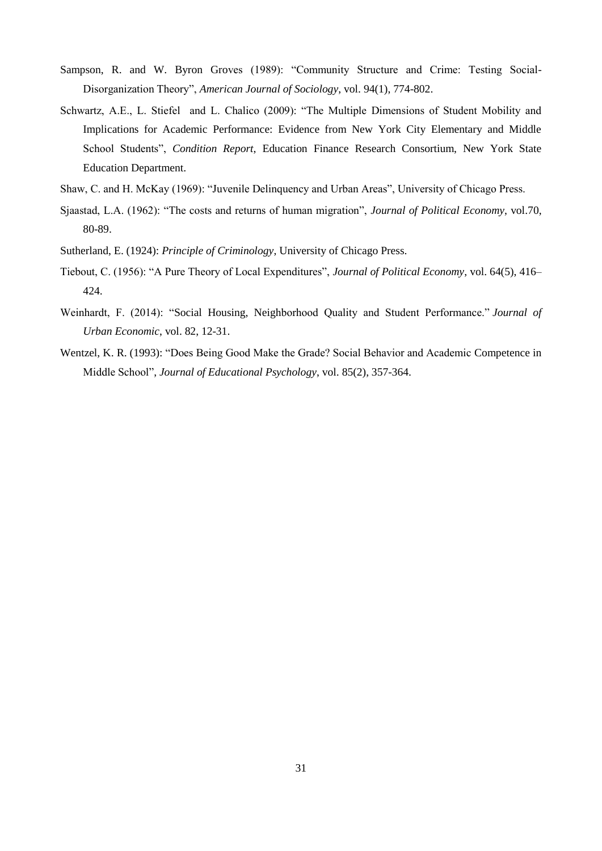- Sampson, R. and W. Byron Groves (1989): "Community Structure and Crime: Testing Social-Disorganization Theory", *American Journal of Sociology*, vol. 94(1), 774-802.
- Schwartz, A.E., L. Stiefel and L. Chalico (2009): "The Multiple Dimensions of Student Mobility and Implications for Academic Performance: Evidence from New York City Elementary and Middle School Students", *Condition Report*, Education Finance Research Consortium, New York State Education Department.
- Shaw, C. and H. McKay (1969): "Juvenile Delinquency and Urban Areas", University of Chicago Press.
- Sjaastad, L.A. (1962): "The costs and returns of human migration", *Journal of Political Economy*, vol.70, 80-89.
- Sutherland, E. (1924): *Principle of Criminology*, University of Chicago Press.
- Tiebout, C. (1956): "A Pure Theory of Local Expenditures", *Journal of Political Economy*, vol. 64(5), 416– 424.
- Weinhardt, F. (2014): "Social Housing, Neighborhood Quality and Student Performance." *Journal of Urban Economic*, vol. 82, 12-31.
- Wentzel, K. R. (1993): "Does Being Good Make the Grade? Social Behavior and Academic Competence in Middle School", *Journal of Educational Psychology*, vol. 85(2), 357-364.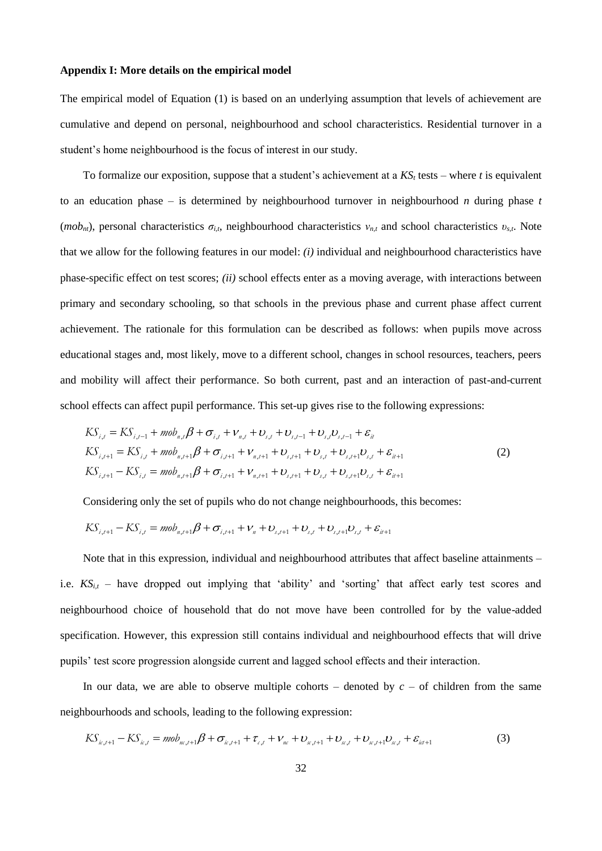#### **Appendix I: More details on the empirical model**

The empirical model of Equation (1) is based on an underlying assumption that levels of achievement are cumulative and depend on personal, neighbourhood and school characteristics. Residential turnover in a student's home neighbourhood is the focus of interest in our study.

To formalize our exposition, suppose that a student's achievement at a *KS<sup>t</sup>* tests – where *t* is equivalent to an education phase – is determined by neighbourhood turnover in neighbourhood *n* during phase *t* ( $m\omega$ *n<sub>nt</sub>*), personal characteristics  $\sigma_{i,t}$ , neighbourhood characteristics  $v_{n,t}$  and school characteristics  $v_{s,t}$ . Note that we allow for the following features in our model: *(i)* individual and neighbourhood characteristics have phase-specific effect on test scores; *(ii)* school effects enter as a moving average, with interactions between primary and secondary schooling, so that schools in the previous phase and current phase affect current achievement. The rationale for this formulation can be described as follows: when pupils move across educational stages and, most likely, move to a different school, changes in school resources, teachers, peers and mobility will affect their performance. So both current, past and an interaction of past-and-current school effects can affect pupil performance. This set-up gives rise to the following expressions:<br>  $KS_{i,t} = KS_{i,t-1} + m\omega_{n,t}\beta + \sigma_{i,t} + v_{n,t} + v_{s,t} + v_{s,t-1} + v_{s,t}v_{s,t-1} + \varepsilon_{it}$ 

$$
KS_{i,t} = KS_{i,t-1} + m\omega_{n,t}\beta + \sigma_{i,t} + \nu_{n,t} + \nu_{s,t} + \nu_{s,t-1} + \nu_{s,t}\nu_{s,t-1} + \varepsilon_{it}
$$
  
\n
$$
KS_{i,t+1} = KS_{i,t} + m\omega_{n,t+1}\beta + \sigma_{i,t+1} + \nu_{n,t+1} + \nu_{s,t+1} + \nu_{s,t} + \nu_{s,t+1}\nu_{s,t} + \varepsilon_{it+1}
$$
\n
$$
KS_{i,t+1} - KS_{i,t} = m\omega_{n,t+1}\beta + \sigma_{i,t+1} + \nu_{n,t+1} + \nu_{s,t+1} + \nu_{s,t} + \nu_{s,t+1}\nu_{s,t} + \varepsilon_{it+1}
$$
\n
$$
(2)
$$

Considering only the set of pupils who do not change neighbourhoods, this becomes:

Considering only the set of pupils who do not change neighbourhoods, this be  
\n
$$
KS_{i,t+1} - KS_{i,t} = \text{mob}_{n,t+1}\beta + \sigma_{i,t+1} + \nu_n + \upsilon_{s,t+1} + \upsilon_{s,t} + \upsilon_{s,t+1}\upsilon_{s,t} + \varepsilon_{i,t+1}
$$

Note that in this expression, individual and neighbourhood attributes that affect baseline attainments – i.e.  $KS_{i,t}$  – have dropped out implying that 'ability' and 'sorting' that affect early test scores and neighbourhood choice of household that do not move have been controlled for by the value-added specification. However, this expression still contains individual and neighbourhood effects that will drive pupils' test score progression alongside current and lagged school effects and their interaction.

In our data, we are able to observe multiple cohorts – denoted by  $c$  – of children from the same neighbourhoods and schools, leading to the following expression: bourhoods and schools, leading to the following expression:<br>  $KS_{k,t+1} - KS_{k,t} = m\omega_{nc,t+1}\beta + \sigma_{k,t+1} + \tau_{c,t} + \nu_{nc} + \nu_{sc,t+1} + \nu_{sc,t} + \nu_{sc,t+1}\nu_{sc,t} + \varepsilon_{ict+1}$ 

$$
K S_{i,j+1} - K S_{i,j} = m b_{i,j+1} \beta + \sigma_{i,j+1} + \tau_{i,j} + \nu_{i,j} + \nu_{i,j+1} + \nu_{i,j} + \nu_{i,j+1} \nu_{i,j} + \varepsilon_{i,j+1}
$$
(3)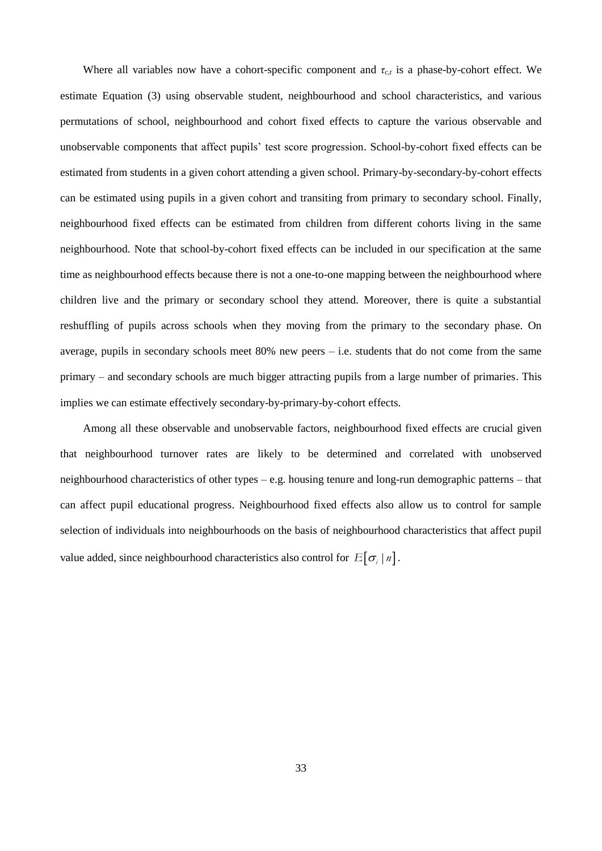Where all variables now have a cohort-specific component and  $\tau_{c,t}$  is a phase-by-cohort effect. We estimate Equation (3) using observable student, neighbourhood and school characteristics, and various permutations of school, neighbourhood and cohort fixed effects to capture the various observable and unobservable components that affect pupils' test score progression. School-by-cohort fixed effects can be estimated from students in a given cohort attending a given school. Primary-by-secondary-by-cohort effects can be estimated using pupils in a given cohort and transiting from primary to secondary school. Finally, neighbourhood fixed effects can be estimated from children from different cohorts living in the same neighbourhood. Note that school-by-cohort fixed effects can be included in our specification at the same time as neighbourhood effects because there is not a one-to-one mapping between the neighbourhood where children live and the primary or secondary school they attend. Moreover, there is quite a substantial reshuffling of pupils across schools when they moving from the primary to the secondary phase. On average, pupils in secondary schools meet  $80\%$  new peers – i.e. students that do not come from the same primary – and secondary schools are much bigger attracting pupils from a large number of primaries. This implies we can estimate effectively secondary-by-primary-by-cohort effects.

Among all these observable and unobservable factors, neighbourhood fixed effects are crucial given that neighbourhood turnover rates are likely to be determined and correlated with unobserved neighbourhood characteristics of other types – e.g. housing tenure and long-run demographic patterns – that can affect pupil educational progress. Neighbourhood fixed effects also allow us to control for sample selection of individuals into neighbourhoods on the basis of neighbourhood characteristics that affect pupil value added, since neighbourhood characteristics also control for  $E[\sigma_i | n]$ .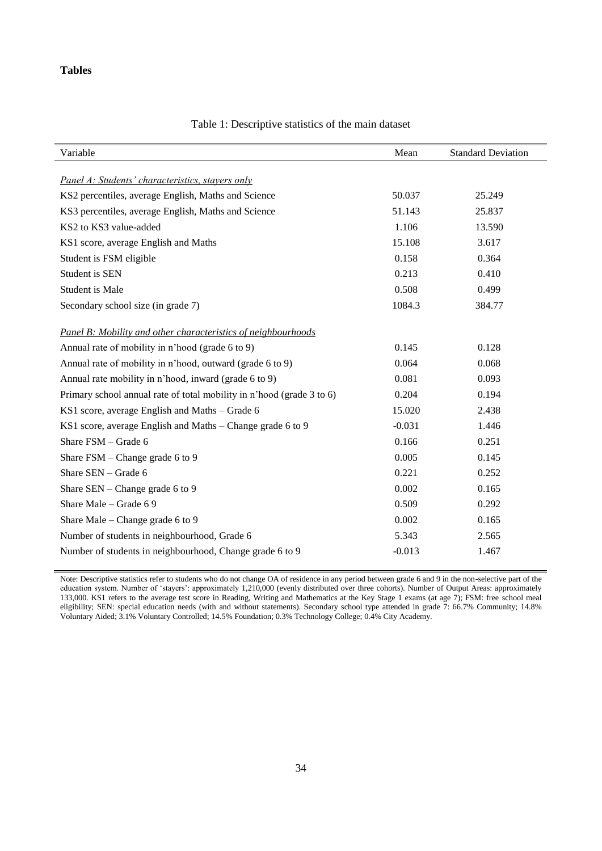#### **Tables**

l.

l,

| Variable                                                              | Mean     | <b>Standard Deviation</b> |
|-----------------------------------------------------------------------|----------|---------------------------|
|                                                                       |          |                           |
| Panel A: Students' characteristics, stayers only                      |          |                           |
| KS2 percentiles, average English, Maths and Science                   | 50.037   | 25.249                    |
| KS3 percentiles, average English, Maths and Science                   | 51.143   | 25.837                    |
| KS2 to KS3 value-added                                                | 1.106    | 13.590                    |
| KS1 score, average English and Maths                                  | 15.108   | 3.617                     |
| Student is FSM eligible                                               | 0.158    | 0.364                     |
| Student is SEN                                                        | 0.213    | 0.410                     |
| <b>Student is Male</b>                                                | 0.508    | 0.499                     |
| Secondary school size (in grade 7)                                    | 1084.3   | 384.77                    |
| Panel B: Mobility and other characteristics of neighbourhoods         |          |                           |
| Annual rate of mobility in n'hood (grade 6 to 9)                      | 0.145    | 0.128                     |
| Annual rate of mobility in n'hood, outward (grade 6 to 9)             | 0.064    | 0.068                     |
| Annual rate mobility in n'hood, inward (grade 6 to 9)                 | 0.081    | 0.093                     |
| Primary school annual rate of total mobility in n'hood (grade 3 to 6) | 0.204    | 0.194                     |
| KS1 score, average English and Maths - Grade 6                        | 15.020   | 2.438                     |
| KS1 score, average English and Maths - Change grade 6 to 9            | $-0.031$ | 1.446                     |
| Share FSM - Grade 6                                                   | 0.166    | 0.251                     |
| Share FSM – Change grade 6 to 9                                       | 0.005    | 0.145                     |
| Share $SEN - Grade 6$                                                 | 0.221    | 0.252                     |
| Share SEN – Change grade 6 to 9                                       | 0.002    | 0.165                     |
| Share Male - Grade 6 9                                                | 0.509    | 0.292                     |
| Share Male - Change grade 6 to 9                                      | 0.002    | 0.165                     |
| Number of students in neighbourhood, Grade 6                          | 5.343    | 2.565                     |
| Number of students in neighbourhood, Change grade 6 to 9              | $-0.013$ | 1.467                     |

#### Table 1: Descriptive statistics of the main dataset

Note: Descriptive statistics refer to students who do not change OA of residence in any period between grade 6 and 9 in the non-selective part of the education system. Number of 'stayers': approximately 1,210,000 (evenly distributed over three cohorts). Number of Output Areas: approximately 133,000. KS1 refers to the average test score in Reading, Writing and Mathematics at the Key Stage 1 exams (at age 7); FSM: free school meal eligibility; SEN: special education needs (with and without statements). Secondary school type attended in grade 7: 66.7% Community; 14.8% Voluntary Aided; 3.1% Voluntary Controlled; 14.5% Foundation; 0.3% Technology College; 0.4% City Academy.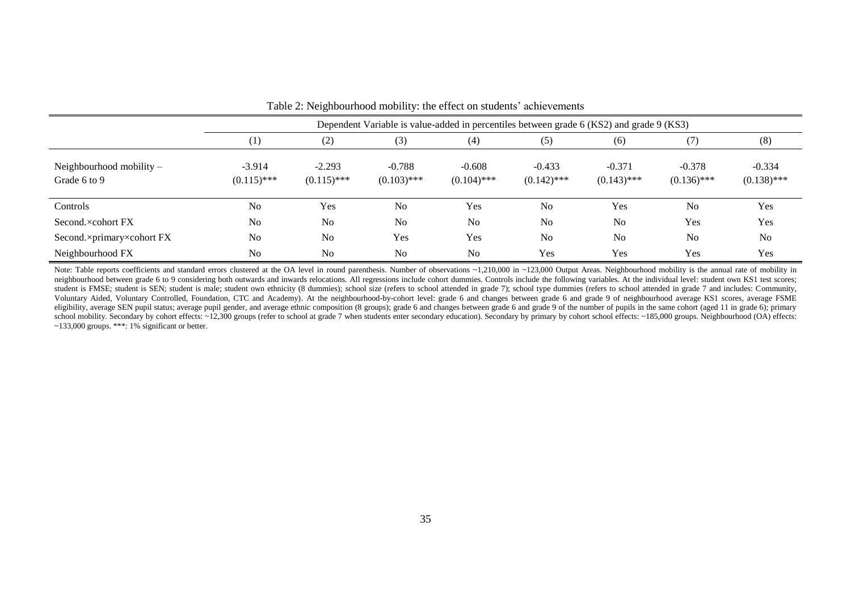| T able 2. INCIGHOOD HOUSE HOUSE CHECK ON SUGGINS achievements |                                                                                          |                           |                           |                           |                           |                           |                           |                           |  |  |  |
|---------------------------------------------------------------|------------------------------------------------------------------------------------------|---------------------------|---------------------------|---------------------------|---------------------------|---------------------------|---------------------------|---------------------------|--|--|--|
|                                                               | Dependent Variable is value-added in percentiles between grade 6 (KS2) and grade 9 (KS3) |                           |                           |                           |                           |                           |                           |                           |  |  |  |
|                                                               | (1)                                                                                      | (2)                       | (3)                       | (4)                       | (5)                       | (6)                       | (7)                       | (8)                       |  |  |  |
| Neighbourhood mobility $-$<br>Grade 6 to 9                    | $-3.914$<br>$(0.115)$ ***                                                                | $-2.293$<br>$(0.115)$ *** | $-0.788$<br>$(0.103)$ *** | $-0.608$<br>$(0.104)$ *** | $-0.433$<br>$(0.142)$ *** | $-0.371$<br>$(0.143)$ *** | $-0.378$<br>$(0.136)$ *** | $-0.334$<br>$(0.138)$ *** |  |  |  |
| Controls                                                      | N <sub>o</sub>                                                                           | Yes                       | N <sub>o</sub>            | Yes                       | No                        | Yes                       | N <sub>0</sub>            | Yes                       |  |  |  |
| Second.×cohort FX                                             | N <sub>o</sub>                                                                           | N <sub>o</sub>            | N <sub>o</sub>            | N <sub>o</sub>            | No                        | N <sub>o</sub>            | Yes                       | Yes                       |  |  |  |
| Second.×primary×cohort FX                                     | N <sub>o</sub>                                                                           | N <sub>o</sub>            | Yes                       | Yes                       | No                        | N <sub>o</sub>            | N <sub>0</sub>            | No                        |  |  |  |
| Neighbourhood FX                                              | N <sub>o</sub>                                                                           | N <sub>o</sub>            | N <sub>o</sub>            | N <sub>o</sub>            | Yes                       | Yes                       | <b>Yes</b>                | Yes                       |  |  |  |

Table 2: Neighbourhood mobility: the effect on students' achievements

<span id="page-37-0"></span>Note: Table reports coefficients and standard errors clustered at the OA level in round parenthesis. Number of observations ~1,210,000 in ~123,000 Output Areas. Neighbourhood mobility is the annual rate of mobility in neighbourhood between grade 6 to 9 considering both outwards and inwards relocations. All regressions include cohort dummies. Controls include the following variables. At the individual level: student own KS1 test scores; student is FMSE; student is SEN; student is male; student own ethnicity (8 dummies); school size (refers to school attended in grade 7); school type dummies (refers to school attended in grade 7 and includes: Community, Voluntary Aided, Voluntary Controlled, Foundation, CTC and Academy). At the neighbourhood-by-cohort level: grade 6 and changes between grade 6 and grade 9 of neighbourhood average KS1 scores, average FSME eligibility, average SEN pupil status; average pupil gender, and average ethnic composition (8 groups); grade 6 and changes between grade 6 and grade 9 of the number of pupils in the same cohort (aged 11 in grade 6); prima school mobility. Secondary by cohort effects: ~12,300 groups (refer to school at grade 7 when students enter secondary education). Secondary by primary by cohort school effects: ~185,000 groups. Neighbourhood (OA) effects:  $\sim$ 133,000 groups. \*\*\*: 1% significant or better.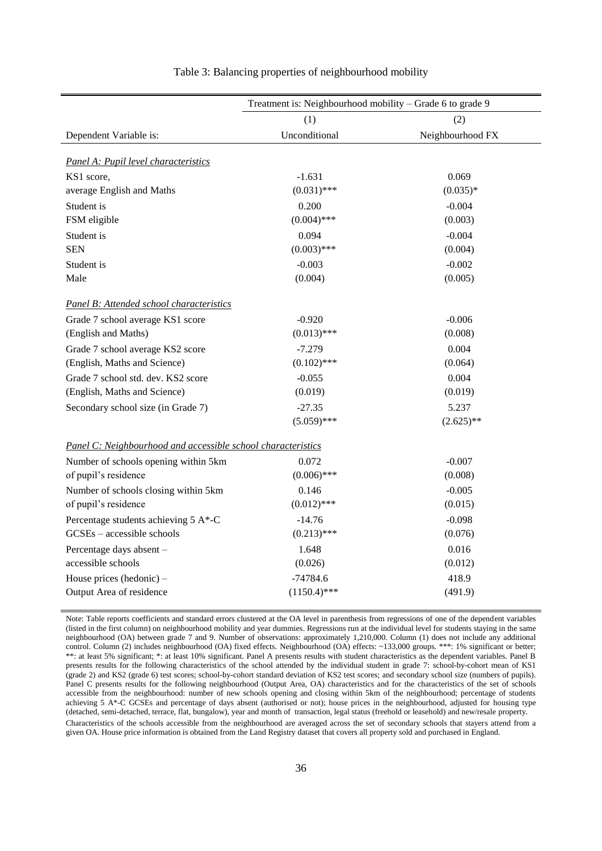|                                                              | Treatment is: Neighbourhood mobility – Grade 6 to grade 9 |                  |  |  |  |  |
|--------------------------------------------------------------|-----------------------------------------------------------|------------------|--|--|--|--|
|                                                              | (1)                                                       | (2)              |  |  |  |  |
| Dependent Variable is:                                       | Unconditional                                             | Neighbourhood FX |  |  |  |  |
|                                                              |                                                           |                  |  |  |  |  |
| Panel A: Pupil level characteristics                         |                                                           |                  |  |  |  |  |
| KS1 score,                                                   | $-1.631$                                                  | 0.069            |  |  |  |  |
| average English and Maths                                    | $(0.031)$ ***                                             | $(0.035)*$       |  |  |  |  |
| Student is                                                   | 0.200                                                     | $-0.004$         |  |  |  |  |
| FSM eligible                                                 | $(0.004)$ ***                                             | (0.003)          |  |  |  |  |
| Student is                                                   | 0.094                                                     | $-0.004$         |  |  |  |  |
| <b>SEN</b>                                                   | $(0.003)$ ***                                             | (0.004)          |  |  |  |  |
| Student is                                                   | $-0.003$                                                  | $-0.002$         |  |  |  |  |
| Male                                                         | (0.004)                                                   | (0.005)          |  |  |  |  |
| Panel B: Attended school characteristics                     |                                                           |                  |  |  |  |  |
| Grade 7 school average KS1 score                             | $-0.920$                                                  | $-0.006$         |  |  |  |  |
| (English and Maths)                                          | $(0.013)$ ***                                             | (0.008)          |  |  |  |  |
| Grade 7 school average KS2 score                             | $-7.279$                                                  | 0.004            |  |  |  |  |
| (English, Maths and Science)                                 | $(0.102)$ ***                                             | (0.064)          |  |  |  |  |
| Grade 7 school std. dev. KS2 score                           | $-0.055$                                                  | 0.004            |  |  |  |  |
| (English, Maths and Science)                                 | (0.019)                                                   | (0.019)          |  |  |  |  |
| Secondary school size (in Grade 7)                           | $-27.35$                                                  | 5.237            |  |  |  |  |
|                                                              | $(5.059)$ ***                                             | $(2.625)$ **     |  |  |  |  |
| Panel C: Neighbourhood and accessible school characteristics |                                                           |                  |  |  |  |  |
| Number of schools opening within 5km                         | 0.072                                                     | $-0.007$         |  |  |  |  |
| of pupil's residence                                         | $(0.006)$ ***                                             | (0.008)          |  |  |  |  |
| Number of schools closing within 5km                         | 0.146                                                     | $-0.005$         |  |  |  |  |
| of pupil's residence                                         | $(0.012)$ ***                                             | (0.015)          |  |  |  |  |
| Percentage students achieving 5 A*-C                         | $-14.76$                                                  | $-0.098$         |  |  |  |  |
| GCSEs - accessible schools                                   | $(0.213)$ ***                                             | (0.076)          |  |  |  |  |
| Percentage days absent -                                     | 1.648                                                     | 0.016            |  |  |  |  |
| accessible schools                                           | (0.026)                                                   | (0.012)          |  |  |  |  |
| House prices (hedonic) $-$                                   | $-74784.6$                                                | 418.9            |  |  |  |  |
| Output Area of residence                                     | $(1150.4)$ ***                                            | (491.9)          |  |  |  |  |
|                                                              |                                                           |                  |  |  |  |  |

#### Table 3: Balancing properties of neighbourhood mobility

Note: Table reports coefficients and standard errors clustered at the OA level in parenthesis from regressions of one of the dependent variables (listed in the first column) on neighbourhood mobility and year dummies. Regressions run at the individual level for students staying in the same neighbourhood (OA) between grade 7 and 9. Number of observations: approximately 1,210,000. Column (1) does not include any additional control. Column (2) includes neighbourhood (OA) fixed effects. Neighbourhood (OA) effects: ~133,000 groups. \*\*\*: 1% significant or better; \*\*: at least 5% significant; \*: at least 10% significant. Panel A presents results with student characteristics as the dependent variables. Panel B presents results for the following characteristics of the school attended by the individual student in grade 7: school-by-cohort mean of KS1 (grade 2) and KS2 (grade 6) test scores; school-by-cohort standard deviation of KS2 test scores; and secondary school size (numbers of pupils). Panel C presents results for the following neighbourhood (Output Area, OA) characteristics and for the characteristics of the set of schools accessible from the neighbourhood: number of new schools opening and closing within 5km of the neighbourhood; percentage of students achieving 5 A\*-C GCSEs and percentage of days absent (authorised or not); house prices in the neighbourhood, adjusted for housing type (detached, semi-detached, terrace, flat, bungalow), year and month of transaction, legal status (freehold or leasehold) and new/resale property. Characteristics of the schools accessible from the neighbourhood are averaged across the set of secondary schools that stayers attend from a given OA. House price information is obtained from the Land Registry dataset that covers all property sold and purchased in England.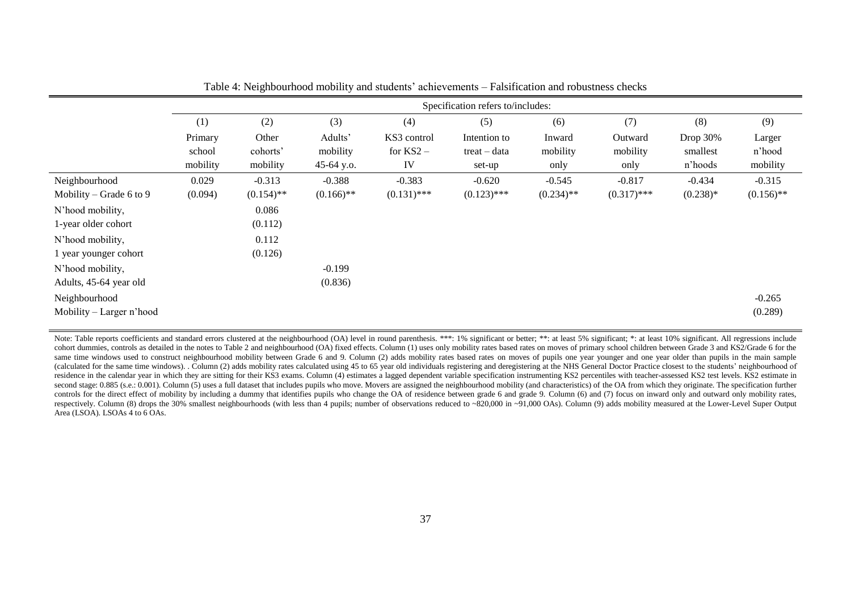|                          | Specification refers to/includes: |              |              |               |                |              |               |            |              |  |
|--------------------------|-----------------------------------|--------------|--------------|---------------|----------------|--------------|---------------|------------|--------------|--|
|                          | (1)                               | (2)          | (3)          | (4)           | (5)            | (6)          | (7)           | (8)        | (9)          |  |
|                          | Primary                           | Other        | Adults'      | KS3 control   | Intention to   | Inward       | Outward       | Drop 30%   | Larger       |  |
|                          | school                            | cohorts'     | mobility     | for $KS2 -$   | $treat - data$ | mobility     | mobility      | smallest   | n'hood       |  |
|                          | mobility                          | mobility     | 45-64 y.o.   | IV            | set-up         | only         | only          | n'hoods    | mobility     |  |
| Neighbourhood            | 0.029                             | $-0.313$     | $-0.388$     | $-0.383$      | $-0.620$       | $-0.545$     | $-0.817$      | $-0.434$   | $-0.315$     |  |
| Mobility – Grade 6 to 9  | (0.094)                           | $(0.154)$ ** | $(0.166)$ ** | $(0.131)$ *** | $(0.123)$ ***  | $(0.234)$ ** | $(0.317)$ *** | $(0.238)*$ | $(0.156)$ ** |  |
| N'hood mobility,         |                                   | 0.086        |              |               |                |              |               |            |              |  |
| 1-year older cohort      |                                   | (0.112)      |              |               |                |              |               |            |              |  |
| N'hood mobility,         |                                   | 0.112        |              |               |                |              |               |            |              |  |
| 1 year younger cohort    |                                   | (0.126)      |              |               |                |              |               |            |              |  |
| N'hood mobility,         |                                   |              | $-0.199$     |               |                |              |               |            |              |  |
| Adults, 45-64 year old   |                                   |              | (0.836)      |               |                |              |               |            |              |  |
| Neighbourhood            |                                   |              |              |               |                |              |               |            | $-0.265$     |  |
| Mobility – Larger n'hood |                                   |              |              |               |                |              |               |            | (0.289)      |  |

Table 4: Neighbourhood mobility and students' achievements – Falsification and robustness checks

Note: Table reports coefficients and standard errors clustered at the neighbourhood (OA) level in round parenthesis. \*\*\*: 1% significant or better; \*\*: at least 5% significant; \*: at least 10% significant. All regressions cohort dummies, controls as detailed in the notes to Table 2 and neighbourhood (OA) fixed effects. Column (1) uses only mobility rates based rates on moves of primary school children between Grade 3 and KS2/Grade 6 for the same time windows used to construct neighbourhood mobility between Grade 6 and 9. Column (2) adds mobility rates based rates on moves of pupils one year younger and one year older than pupils in the main sample (calculated for the same time windows). Column (2) adds mobility rates calculated using 45 to 65 year old individuals registering and deregistering at the NHS General Doctor Practice closest to the students' neighbourhood residence in the calendar year in which they are sitting for their KS3 exams. Column (4) estimates a lagged dependent variable specification instrumenting KS2 percentiles with teacher-assessed KS2 test levels. KS2 estimate second stage: 0.885 (s.e.; 0.001). Column (5) uses a full dataset that includes pupils who move. Movers are assigned the neighbourhood mobility (and characteristics) of the OA from which they originate. The specification f controls for the direct effect of mobility by including a dummy that identifies pupils who change the OA of residence between grade 6 and grade 9. Column (6) and (7) focus on inward only and outward only mobility rates, respectively. Column (8) drops the 30% smallest neighbourhoods (with less than 4 pupils; number of observations reduced to ~820,000 in ~91,000 OAs). Column (9) adds mobility measured at the Lower-Level Super Output Area (LSOA). LSOAs 4 to 6 OAs.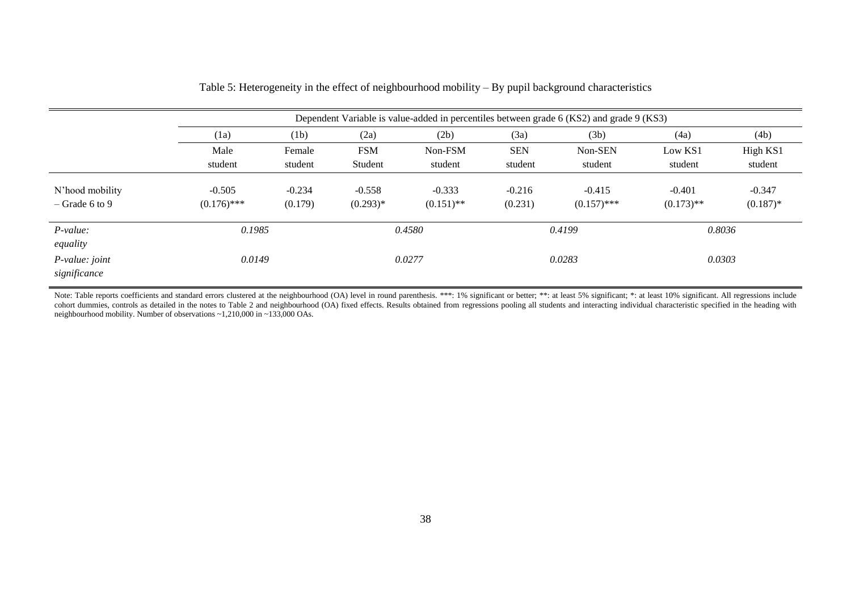|                                     |                           | Dependent Variable is value-added in percentiles between grade 6 (KS2) and grade 9 (KS3) |                        |                          |                     |                           |                          |                         |  |  |  |
|-------------------------------------|---------------------------|------------------------------------------------------------------------------------------|------------------------|--------------------------|---------------------|---------------------------|--------------------------|-------------------------|--|--|--|
|                                     | (1a)                      | (1b)                                                                                     | (2a)                   | (2b)                     | (3a)                | (3b)                      | (4a)                     | (4b)                    |  |  |  |
|                                     | Male                      | Female                                                                                   | <b>FSM</b>             | Non-FSM                  | <b>SEN</b>          | Non-SEN                   | Low KS1                  | High KS1                |  |  |  |
|                                     | student                   | student                                                                                  | Student                | student                  | student             | student                   | student                  | student                 |  |  |  |
| N'hood mobility<br>$-$ Grade 6 to 9 | $-0.505$<br>$(0.176)$ *** | $-0.234$<br>(0.179)                                                                      | $-0.558$<br>$(0.293)*$ | $-0.333$<br>$(0.151)$ ** | $-0.216$<br>(0.231) | $-0.415$<br>$(0.157)$ *** | $-0.401$<br>$(0.173)$ ** | $-0.347$<br>$(0.187)$ * |  |  |  |
| $P-value:$<br>equality              | 0.1985                    |                                                                                          |                        | 0.4580                   |                     | 0.4199                    | 0.8036                   |                         |  |  |  |
| $P-value: joint$<br>significance    | 0.0149                    |                                                                                          |                        | 0.0277                   |                     | 0.0283                    | 0.0303                   |                         |  |  |  |

|  | Table 5: Heterogeneity in the effect of neighbourhood mobility $-$ By pupil background characteristics |
|--|--------------------------------------------------------------------------------------------------------|
|  |                                                                                                        |

Note: Table reports coefficients and standard errors clustered at the neighbourhood (OA) level in round parenthesis. \*\*\*: 1% significant or better; \*\*: at least 5% significant; \*: at least 10% significant. All regressions cohort dummies, controls as detailed in the notes to Table 2 and neighbourhood (OA) fixed effects. Results obtained from regressions pooling all students and interacting individual characteristic specified in the heading w neighbourhood mobility. Number of observations ~1,210,000 in ~133,000 OAs.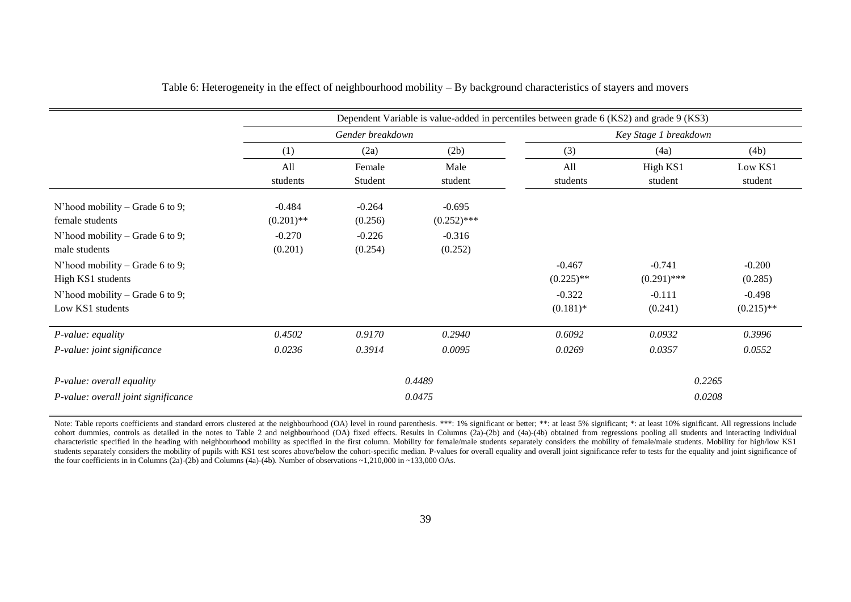|                                                  | Dependent Variable is value-added in percentiles between grade 6 (KS2) and grade 9 (KS3) |                     |                     |              |                       |              |  |  |  |
|--------------------------------------------------|------------------------------------------------------------------------------------------|---------------------|---------------------|--------------|-----------------------|--------------|--|--|--|
|                                                  |                                                                                          | Gender breakdown    |                     |              | Key Stage 1 breakdown |              |  |  |  |
|                                                  | (1)                                                                                      | (2a)<br>(2b)        |                     | (3)          | (4a)                  | (4b)         |  |  |  |
|                                                  | All                                                                                      | Female              | Male                | All          | High KS1              | Low KS1      |  |  |  |
|                                                  | students                                                                                 | Student             | student             | students     | student               | student      |  |  |  |
| N'hood mobility – Grade 6 to 9;                  | $-0.484$                                                                                 | $-0.264$            | $-0.695$            |              |                       |              |  |  |  |
| female students                                  | $(0.201)$ **                                                                             | (0.256)             | $(0.252)$ ***       |              |                       |              |  |  |  |
| N'hood mobility – Grade 6 to 9;<br>male students | $-0.270$<br>(0.201)                                                                      | $-0.226$<br>(0.254) | $-0.316$<br>(0.252) |              |                       |              |  |  |  |
| N'hood mobility – Grade 6 to 9;                  |                                                                                          |                     |                     | $-0.467$     | $-0.741$              | $-0.200$     |  |  |  |
| High KS1 students                                |                                                                                          |                     |                     | $(0.225)$ ** | $(0.291)$ ***         | (0.285)      |  |  |  |
| N'hood mobility – Grade 6 to 9;                  |                                                                                          |                     |                     | $-0.322$     | $-0.111$              | $-0.498$     |  |  |  |
| Low KS1 students                                 |                                                                                          |                     |                     | $(0.181)$ *  | (0.241)               | $(0.215)$ ** |  |  |  |
| P-value: equality                                | 0.4502                                                                                   | 0.9170              | 0.2940              | 0.6092       | 0.0932                | 0.3996       |  |  |  |
| P-value: joint significance                      | 0.0236                                                                                   | 0.3914              | 0.0095              | 0.0269       | 0.0357                | 0.0552       |  |  |  |
| P-value: overall equality                        |                                                                                          |                     | 0.4489              |              | 0.2265                |              |  |  |  |
| P-value: overall joint significance              |                                                                                          |                     | 0.0475              |              | 0.0208                |              |  |  |  |

#### Table 6: Heterogeneity in the effect of neighbourhood mobility – By background characteristics of stayers and movers

Note: Table reports coefficients and standard errors clustered at the neighbourhood (OA) level in round parenthesis. \*\*\*: 1% significant or better; \*\*: at least 5% significant; \*: at least 10% significant. All regressions cohort dummies, controls as detailed in the notes to Table 2 and neighbourhood (OA) fixed effects. Results in Columns (2a)-(2b) and (4a)-(4b) obtained from regressions pooling all students and interacting individual characteristic specified in the heading with neighbourhood mobility as specified in the first column. Mobility for female/male students separately considers the mobility of female/male students. Mobility for high/low KS1 students separately considers the mobility of pupils with KS1 test scores above/below the cohort-specific median. P-values for overall equality and overall joint significance refer to tests for the equality and joint signi the four coefficients in in Columns (2a)-(2b) and Columns (4a)-(4b). Number of observations  $\sim$ 1,210,000 in  $\sim$ 133,000 OAs.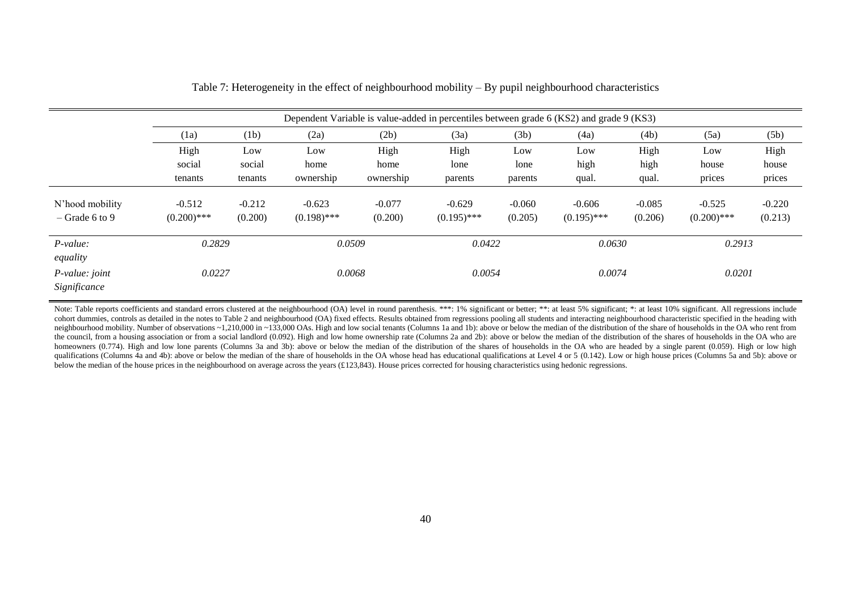|                                     | Dependent Variable is value-added in percentiles between grade 6 (KS2) and grade 9 (KS3) |                     |                           |                     |                           |                     |                           |                     |                           |                     |
|-------------------------------------|------------------------------------------------------------------------------------------|---------------------|---------------------------|---------------------|---------------------------|---------------------|---------------------------|---------------------|---------------------------|---------------------|
|                                     | (1a)                                                                                     | (1b)                | (2a)                      | (2b)                | (3a)                      | (3b)                | (4a)                      | (4b)                | (5a)                      | (5b)                |
|                                     | High                                                                                     | Low                 | Low                       | High                | High                      | Low                 | Low                       | High                | Low                       | High                |
|                                     | social                                                                                   | social              | home                      | home                | lone                      | lone                | high                      | high                | house                     | house               |
|                                     | tenants                                                                                  | tenants             | ownership                 | ownership           | parents                   | parents             | qual.                     | qual.               | prices                    | prices              |
| N'hood mobility<br>$-$ Grade 6 to 9 | $-0.512$<br>$(0.200)$ ***                                                                | $-0.212$<br>(0.200) | $-0.623$<br>$(0.198)$ *** | $-0.077$<br>(0.200) | $-0.629$<br>$(0.195)$ *** | $-0.060$<br>(0.205) | $-0.606$<br>$(0.195)$ *** | $-0.085$<br>(0.206) | $-0.525$<br>$(0.200)$ *** | $-0.220$<br>(0.213) |
| $P-value:$<br>equality              | 0.2829                                                                                   |                     | 0.0509                    |                     | 0.0422                    |                     | 0.0630                    |                     | 0.2913                    |                     |
| $P-value: joint$<br>Significance    | 0.0227                                                                                   |                     | 0.0068                    |                     | 0.0054                    |                     | 0.0074                    |                     | 0.0201                    |                     |

Table 7: Heterogeneity in the effect of neighbourhood mobility – By pupil neighbourhood characteristics

Note: Table reports coefficients and standard errors clustered at the neighbourhood (OA) level in round parenthesis. \*\*\*: 1% significant or better; \*\*: at least 5% significant; \*: at least 10% significant. All regressions cohort dummies, controls as detailed in the notes to Table 2 and neighbourhood (OA) fixed effects. Results obtained from regressions pooling all students and interacting neighbourhood characteristic specified in the headin neighbourhood mobility. Number of observations ~1,210,000 in ~133,000 OAs. High and low social tenants (Columns 1a and 1b): above or below the median of the distribution of the share of households in the OA who rent from the council, from a housing association or from a social landlord (0.092). High and low home ownership rate (Columns 2a and 2b): above or below the median of the distribution of the shares of households in the OA who are homeowners (0.774). High and low lone parents (Columns 3a and 3b): above or below the median of the distribution of the shares of households in the OA who are headed by a single parent (0.059). High or low high qualifications (Columns 4a and 4b): above or below the median of the share of households in the OA whose head has educational qualifications at Level 4 or 5 (0.142). Low or high house prices (Columns 5a and 5b): above or below the median of the house prices in the neighbourhood on average across the years (£123,843). House prices corrected for housing characteristics using hedonic regressions.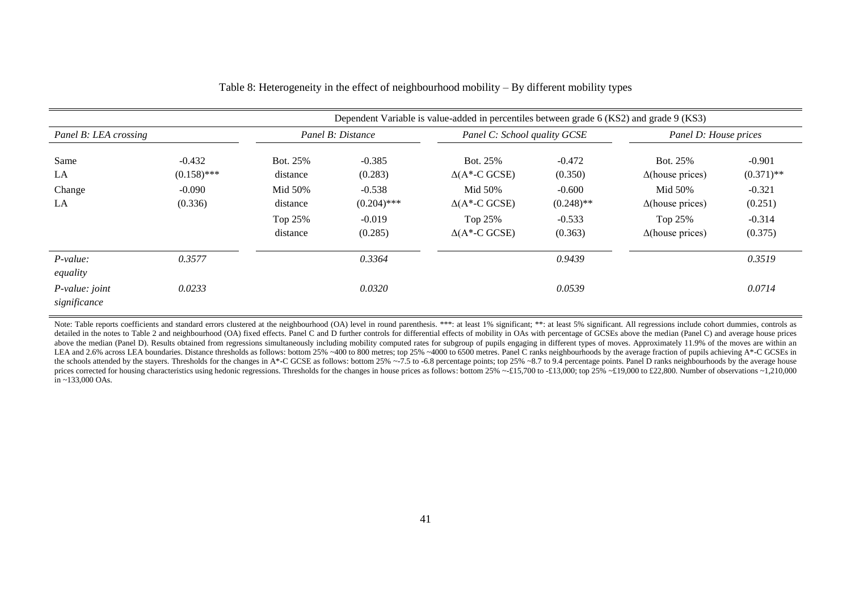|                                |                                                  |                                                                    | Dependent Variable is value-added in percentiles between grade 6 (KS2) and grade 9 (KS3) |                                                                                                                     |                                                                        |                                                                                                                 |                                                                        |
|--------------------------------|--------------------------------------------------|--------------------------------------------------------------------|------------------------------------------------------------------------------------------|---------------------------------------------------------------------------------------------------------------------|------------------------------------------------------------------------|-----------------------------------------------------------------------------------------------------------------|------------------------------------------------------------------------|
| Panel B: LEA crossing          |                                                  |                                                                    | Panel B: Distance                                                                        | Panel C: School quality GCSE                                                                                        |                                                                        | Panel D: House prices                                                                                           |                                                                        |
| Same<br>LA<br>Change<br>LA     | $-0.432$<br>$(0.158)$ ***<br>$-0.090$<br>(0.336) | Bot. 25%<br>distance<br>Mid 50%<br>distance<br>Top 25%<br>distance | $-0.385$<br>(0.283)<br>$-0.538$<br>$(0.204)$ ***<br>$-0.019$<br>(0.285)                  | Bot. 25%<br>$\Delta(A^*$ -C GCSE)<br>Mid 50%<br>$\Delta(A^{\ast}$ -C GCSE)<br>Top 25%<br>$\Delta(A^{\ast}$ -C GCSE) | $-0.472$<br>(0.350)<br>$-0.600$<br>$(0.248)$ **<br>$-0.533$<br>(0.363) | Bot. 25%<br>$\Delta$ (house prices)<br>Mid 50%<br>$\Delta$ (house prices)<br>Top 25%<br>$\Delta$ (house prices) | $-0.901$<br>$(0.371)$ **<br>$-0.321$<br>(0.251)<br>$-0.314$<br>(0.375) |
| P-value:<br>equality           | 0.3577                                           |                                                                    | 0.3364                                                                                   |                                                                                                                     | 0.9439                                                                 |                                                                                                                 | 0.3519                                                                 |
| P-value: joint<br>significance | 0.0233                                           |                                                                    | 0.0320                                                                                   |                                                                                                                     | 0.0539                                                                 |                                                                                                                 | 0.0714                                                                 |

Table 8: Heterogeneity in the effect of neighbourhood mobility – By different mobility types

Note: Table reports coefficients and standard errors clustered at the neighbourhood (OA) level in round parenthesis. \*\*\*: at least 1% significant; \*\*: at least 5% significant. All regressions include cohort dummies, contro detailed in the notes to Table 2 and neighbourhood (OA) fixed effects. Panel C and D further controls for differential effects of mobility in OAs with percentage of GCSEs above the median (Panel C) and average house prices above the median (Panel D). Results obtained from regressions simultaneously including mobility computed rates for subgroup of pupils engaging in different types of moves. Approximately 11.9% of the moves are within an LEA and 2.6% across LEA boundaries. Distance thresholds as follows: bottom 25% ~400 to 800 metres; top 25% ~4000 to 6500 metres. Panel C ranks neighbourhoods by the average fraction of pupils achieving A\*-C GCSEs in the schools attended by the stayers. Thresholds for the changes in A\*-C GCSE as follows: bottom 25%  $~-7.5$  to -6.8 percentage points; top 25%  $~-8.7$  to 9.4 percentage points. Panel D ranks neighbourhoods by the average prices corrected for housing characteristics using hedonic regressions. Thresholds for the changes in house prices as follows: bottom  $25\% -215,700$  to  $-213,000$ ; top  $25\% -219,000$  to  $22,800$ . Number of observations  $\$ in ~133,000 OAs.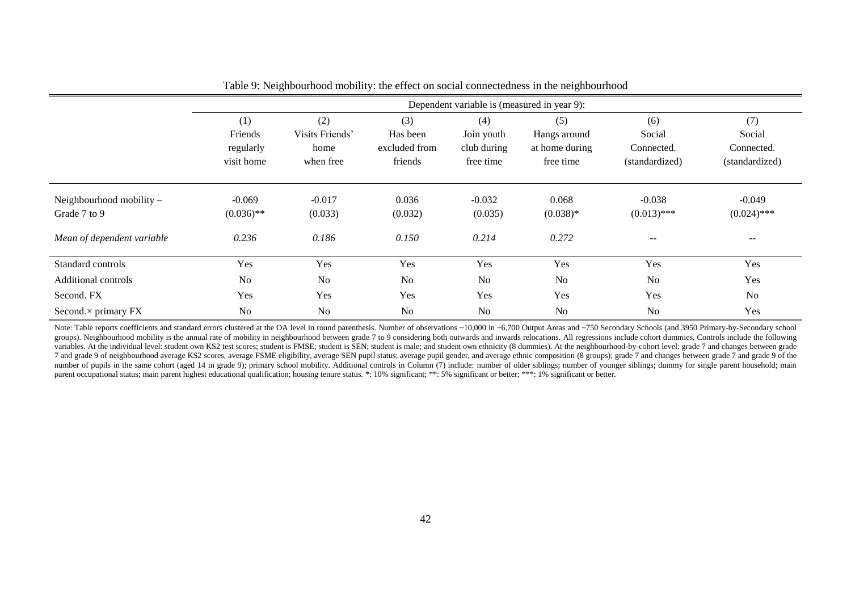|                               | Dependent variable is (measured in year 9): |                 |                |                |                |                          |                |  |  |  |
|-------------------------------|---------------------------------------------|-----------------|----------------|----------------|----------------|--------------------------|----------------|--|--|--|
|                               | (1)                                         | (2)             | (3)            | (4)            | (5)            | (6)                      | (7)            |  |  |  |
|                               | Friends                                     | Visits Friends' | Has been       | Join youth     | Hangs around   | Social                   | Social         |  |  |  |
|                               | regularly                                   | home            | excluded from  | club during    | at home during | Connected.               | Connected.     |  |  |  |
|                               | visit home                                  | when free       | friends        | free time      | free time      | (standardized)           | (standardized) |  |  |  |
|                               |                                             |                 |                |                |                |                          |                |  |  |  |
| Neighbourhood mobility $-$    | $-0.069$                                    | $-0.017$        | 0.036          | $-0.032$       | 0.068          | $-0.038$                 | $-0.049$       |  |  |  |
| Grade 7 to 9                  | $(0.036)$ **                                | (0.033)         | (0.032)        | (0.035)        | $(0.038)*$     | $(0.013)$ ***            | $(0.024)$ ***  |  |  |  |
| Mean of dependent variable    | 0.236                                       | 0.186           | 0.150          | 0.214          | 0.272          | $\overline{\phantom{m}}$ | $- -$          |  |  |  |
| Standard controls             | Yes                                         | Yes             | Yes            | Yes            | Yes            | Yes                      | Yes            |  |  |  |
| Additional controls           | N <sub>o</sub>                              | N <sub>o</sub>  | N <sub>o</sub> | N <sub>o</sub> | N <sub>0</sub> | N <sub>o</sub>           | Yes            |  |  |  |
| Second. FX                    | Yes                                         | Yes             | Yes            | Yes            | Yes            | Yes                      | No             |  |  |  |
| Second. $\times$ primary $FX$ | N <sub>o</sub>                              | N <sub>0</sub>  | N <sub>o</sub> | N <sub>o</sub> | N <sub>o</sub> | N <sub>o</sub>           | Yes            |  |  |  |

Table 9: Neighbourhood mobility: the effect on social connectedness in the neighbourhood

Note: Table reports coefficients and standard errors clustered at the OA level in round parenthesis. Number of observations ~10,000 in ~6,700 Output Areas and ~750 Secondary Schools (and 3950 Primary-by-Secondary school groups). Neighbourhood mobility is the annual rate of mobility in neighbourhood between grade 7 to 9 considering both outwards and inwards relocations. All regressions include cohort dummies. Controls include the following variables. At the individual level: student own KS2 test scores; student is FMSE; student is SEN; student is male; and student own ethnicity (8 dummies). At the neighbourhood-by-cohort level: grade 7 and changes between gr 7 and grade 9 of neighbourhood average KS2 scores, average FSME eligibility, average SEN pupil status; average pupil gender, and average ethnic composition (8 groups); grade 7 and changes between grade 7 and grade 9 of the number of pupils in the same cohort (aged 14 in grade 9); primary school mobility. Additional controls in Column (7) include: number of older siblings; number of younger siblings; dummy for single parent household; main parent occupational status; main parent highest educational qualification; housing tenure status. \*: 10% significant; \*\*: 5% significant or better; \*\*\*: 1% significant or better.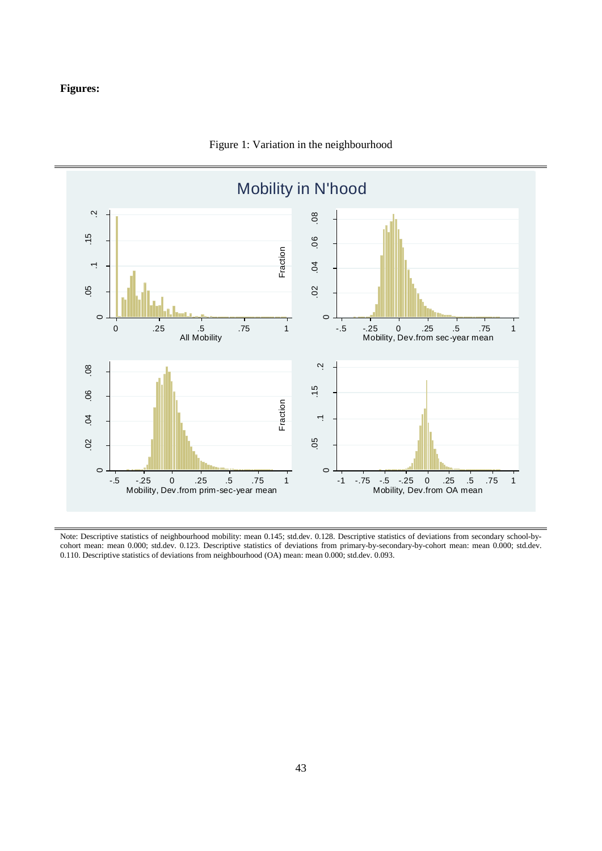#### **Figures:**



#### Figure 1: Variation in the neighbourhood

Note: Descriptive statistics of neighbourhood mobility: mean 0.145; std.dev. 0.128. Descriptive statistics of deviations from secondary school-bycohort mean: mean 0.000; std.dev. 0.123. Descriptive statistics of deviations from primary-by-secondary-by-cohort mean: mean 0.000; std.dev. 0.110. Descriptive statistics of deviations from neighbourhood (OA) mean: mean 0.000; std.dev. 0.093.